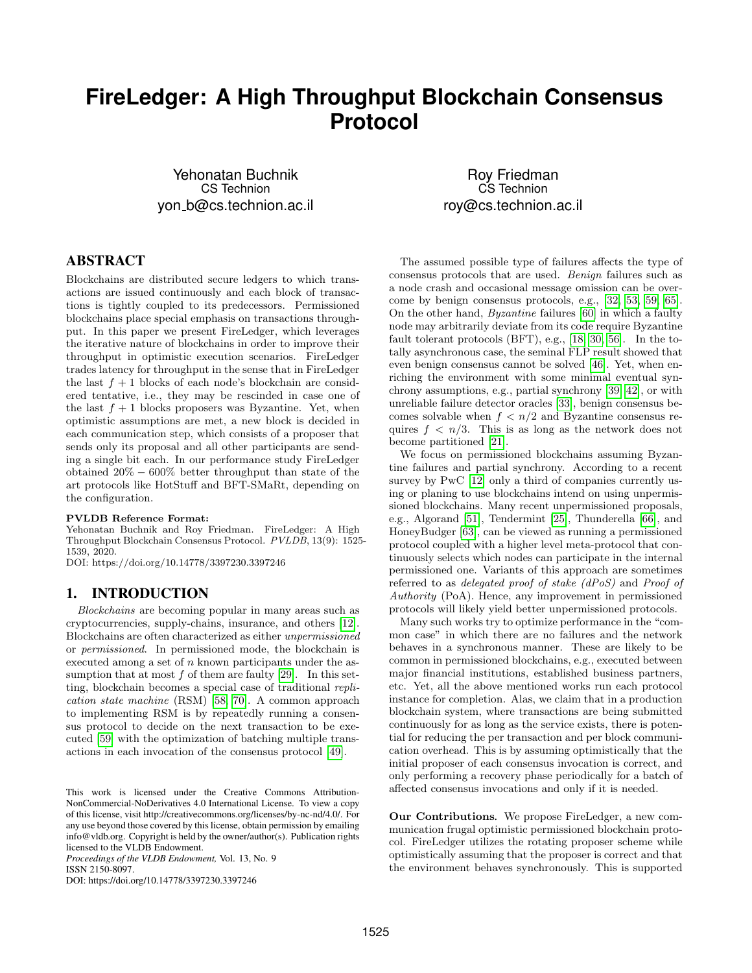# **FireLedger: A High Throughput Blockchain Consensus Protocol**

Yehonatan Buchnik CS Technion yon b@cs.technion.ac.il

# ABSTRACT

Blockchains are distributed secure ledgers to which transactions are issued continuously and each block of transactions is tightly coupled to its predecessors. Permissioned blockchains place special emphasis on transactions throughput. In this paper we present FireLedger, which leverages the iterative nature of blockchains in order to improve their throughput in optimistic execution scenarios. FireLedger trades latency for throughput in the sense that in FireLedger the last  $f + 1$  blocks of each node's blockchain are considered tentative, i.e., they may be rescinded in case one of the last  $f + 1$  blocks proposers was Byzantine. Yet, when optimistic assumptions are met, a new block is decided in each communication step, which consists of a proposer that sends only its proposal and all other participants are sending a single bit each. In our performance study FireLedger obtained 20% − 600% better throughput than state of the art protocols like HotStuff and BFT-SMaRt, depending on the configuration.

#### PVLDB Reference Format:

Yehonatan Buchnik and Roy Friedman. FireLedger: A High Throughput Blockchain Consensus Protocol. PVLDB, 13(9): 1525- 1539, 2020.

DOI: https://doi.org/10.14778/3397230.3397246

#### 1. INTRODUCTION

Blockchains are becoming popular in many areas such as cryptocurrencies, supply-chains, insurance, and others [\[12\]](#page-12-0). Blockchains are often characterized as either unpermissioned or permissioned. In permissioned mode, the blockchain is executed among a set of  $n$  known participants under the assumption that at most  $f$  of them are faulty [\[29\]](#page-12-1). In this setting, blockchain becomes a special case of traditional replication state machine (RSM) [\[58,](#page-13-0) [70\]](#page-13-1). A common approach to implementing RSM is by repeatedly running a consensus protocol to decide on the next transaction to be executed [\[59\]](#page-13-2) with the optimization of batching multiple transactions in each invocation of the consensus protocol [\[49\]](#page-13-3).

*Proceedings of the VLDB Endowment,* Vol. 13, No. 9 ISSN 2150-8097.

DOI: https://doi.org/10.14778/3397230.3397246

Roy Friedman CS Technion roy@cs.technion.ac.il

The assumed possible type of failures affects the type of consensus protocols that are used. Benign failures such as a node crash and occasional message omission can be overcome by benign consensus protocols, e.g., [\[32,](#page-12-2) [53,](#page-13-4) [59,](#page-13-2) [65\]](#page-13-5). On the other hand, Byzantine failures [\[60\]](#page-13-6) in which a faulty node may arbitrarily deviate from its code require Byzantine fault tolerant protocols (BFT), e.g., [\[18,](#page-12-3) [30,](#page-12-4) [56\]](#page-13-7). In the totally asynchronous case, the seminal FLP result showed that even benign consensus cannot be solved [\[46\]](#page-13-8). Yet, when enriching the environment with some minimal eventual synchrony assumptions, e.g., partial synchrony [\[39,](#page-13-9) [42\]](#page-13-10), or with unreliable failure detector oracles [\[33\]](#page-12-5), benign consensus becomes solvable when  $f < n/2$  and Byzantine consensus requires  $f \, \langle n/3$ . This is as long as the network does not become partitioned [\[21\]](#page-12-6).

We focus on permissioned blockchains assuming Byzantine failures and partial synchrony. According to a recent survey by PwC [\[12\]](#page-12-0) only a third of companies currently using or planing to use blockchains intend on using unpermissioned blockchains. Many recent unpermissioned proposals, e.g., Algorand [\[51\]](#page-13-11), Tendermint [\[25\]](#page-12-7), Thunderella [\[66\]](#page-13-12), and HoneyBudger [\[63\]](#page-13-13), can be viewed as running a permissioned protocol coupled with a higher level meta-protocol that continuously selects which nodes can participate in the internal permissioned one. Variants of this approach are sometimes referred to as delegated proof of stake (dPoS) and Proof of Authority (PoA). Hence, any improvement in permissioned protocols will likely yield better unpermissioned protocols.

Many such works try to optimize performance in the "common case" in which there are no failures and the network behaves in a synchronous manner. These are likely to be common in permissioned blockchains, e.g., executed between major financial institutions, established business partners, etc. Yet, all the above mentioned works run each protocol instance for completion. Alas, we claim that in a production blockchain system, where transactions are being submitted continuously for as long as the service exists, there is potential for reducing the per transaction and per block communication overhead. This is by assuming optimistically that the initial proposer of each consensus invocation is correct, and only performing a recovery phase periodically for a batch of affected consensus invocations and only if it is needed.

Our Contributions*.* We propose FireLedger, a new communication frugal optimistic permissioned blockchain protocol. FireLedger utilizes the rotating proposer scheme while optimistically assuming that the proposer is correct and that the environment behaves synchronously. This is supported

This work is licensed under the Creative Commons Attribution-NonCommercial-NoDerivatives 4.0 International License. To view a copy of this license, visit http://creativecommons.org/licenses/by-nc-nd/4.0/. For any use beyond those covered by this license, obtain permission by emailing info@vldb.org. Copyright is held by the owner/author(s). Publication rights licensed to the VLDB Endowment.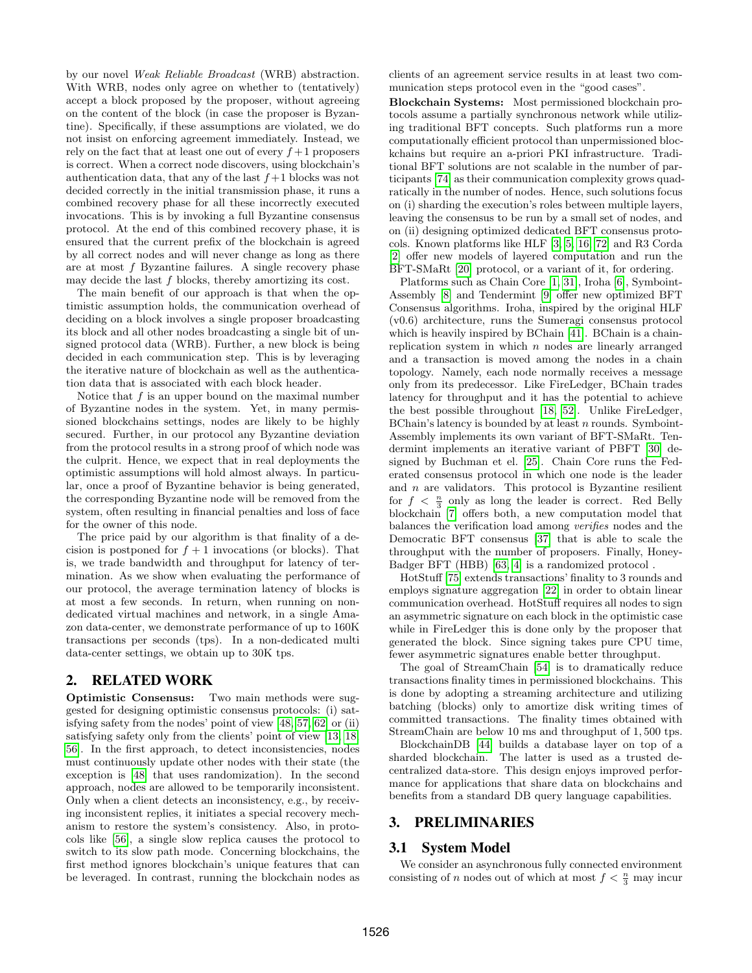by our novel Weak Reliable Broadcast (WRB) abstraction. With WRB, nodes only agree on whether to (tentatively) accept a block proposed by the proposer, without agreeing on the content of the block (in case the proposer is Byzantine). Specifically, if these assumptions are violated, we do not insist on enforcing agreement immediately. Instead, we rely on the fact that at least one out of every  $f+1$  proposers is correct. When a correct node discovers, using blockchain's authentication data, that any of the last  $f+1$  blocks was not decided correctly in the initial transmission phase, it runs a combined recovery phase for all these incorrectly executed invocations. This is by invoking a full Byzantine consensus protocol. At the end of this combined recovery phase, it is ensured that the current prefix of the blockchain is agreed by all correct nodes and will never change as long as there are at most  $f$  Byzantine failures. A single recovery phase may decide the last  $f$  blocks, thereby amortizing its cost.

The main benefit of our approach is that when the optimistic assumption holds, the communication overhead of deciding on a block involves a single proposer broadcasting its block and all other nodes broadcasting a single bit of unsigned protocol data (WRB). Further, a new block is being decided in each communication step. This is by leveraging the iterative nature of blockchain as well as the authentication data that is associated with each block header.

Notice that  $f$  is an upper bound on the maximal number of Byzantine nodes in the system. Yet, in many permissioned blockchains settings, nodes are likely to be highly secured. Further, in our protocol any Byzantine deviation from the protocol results in a strong proof of which node was the culprit. Hence, we expect that in real deployments the optimistic assumptions will hold almost always. In particular, once a proof of Byzantine behavior is being generated, the corresponding Byzantine node will be removed from the system, often resulting in financial penalties and loss of face for the owner of this node.

The price paid by our algorithm is that finality of a decision is postponed for  $f + 1$  invocations (or blocks). That is, we trade bandwidth and throughput for latency of termination. As we show when evaluating the performance of our protocol, the average termination latency of blocks is at most a few seconds. In return, when running on nondedicated virtual machines and network, in a single Amazon data-center, we demonstrate performance of up to 160K transactions per seconds (tps). In a non-dedicated multi data-center settings, we obtain up to 30K tps.

# 2. RELATED WORK

Optimistic Consensus: Two main methods were suggested for designing optimistic consensus protocols: (i) satisfying safety from the nodes' point of view [\[48,](#page-13-14) [57,](#page-13-15) [62\]](#page-13-16) or (ii) satisfying safety only from the clients' point of view [\[13,](#page-12-8) [18,](#page-12-3) [56\]](#page-13-7). In the first approach, to detect inconsistencies, nodes must continuously update other nodes with their state (the exception is [\[48\]](#page-13-14) that uses randomization). In the second approach, nodes are allowed to be temporarily inconsistent. Only when a client detects an inconsistency, e.g., by receiving inconsistent replies, it initiates a special recovery mechanism to restore the system's consistency. Also, in protocols like [\[56\]](#page-13-7), a single slow replica causes the protocol to switch to its slow path mode. Concerning blockchains, the first method ignores blockchain's unique features that can be leveraged. In contrast, running the blockchain nodes as clients of an agreement service results in at least two communication steps protocol even in the "good cases".

Blockchain Systems: Most permissioned blockchain protocols assume a partially synchronous network while utilizing traditional BFT concepts. Such platforms run a more computationally efficient protocol than unpermissioned blockchains but require an a-priori PKI infrastructure. Traditional BFT solutions are not scalable in the number of participants [\[74\]](#page-14-0) as their communication complexity grows quadratically in the number of nodes. Hence, such solutions focus on (i) sharding the execution's roles between multiple layers, leaving the consensus to be run by a small set of nodes, and on (ii) designing optimized dedicated BFT consensus protocols. Known platforms like HLF [\[3,](#page-12-9) [5,](#page-12-10) [16,](#page-12-11) [72\]](#page-14-1) and R3 Corda [\[2\]](#page-12-12) offer new models of layered computation and run the BFT-SMaRt [\[20\]](#page-12-13) protocol, or a variant of it, for ordering.

Platforms such as Chain Core [\[1,](#page-12-14) [31\]](#page-12-15), Iroha [\[6\]](#page-12-16), Symboint-Assembly [\[8\]](#page-12-17) and Tendermint [\[9\]](#page-12-18) offer new optimized BFT Consensus algorithms. Iroha, inspired by the original HLF (v0.6) architecture, runs the Sumeragi consensus protocol which is heavily inspired by BChain [\[41\]](#page-13-17). BChain is a chainreplication system in which  $n$  nodes are linearly arranged and a transaction is moved among the nodes in a chain topology. Namely, each node normally receives a message only from its predecessor. Like FireLedger, BChain trades latency for throughput and it has the potential to achieve the best possible throughout [\[18,](#page-12-3) [52\]](#page-13-18). Unlike FireLedger, BChain's latency is bounded by at least  $n$  rounds. Symboint-Assembly implements its own variant of BFT-SMaRt. Tendermint implements an iterative variant of PBFT [\[30\]](#page-12-4) designed by Buchman et el. [\[25\]](#page-12-7). Chain Core runs the Federated consensus protocol in which one node is the leader and  $n$  are validators. This protocol is Byzantine resilient for  $f < \frac{n}{3}$  only as long the leader is correct. Red Belly blockchain [\[7\]](#page-12-19) offers both, a new computation model that balances the verification load among verifies nodes and the Democratic BFT consensus [\[37\]](#page-12-20) that is able to scale the throughput with the number of proposers. Finally, Honey-Badger BFT (HBB) [\[63,](#page-13-13) [4\]](#page-12-21) is a randomized protocol .

HotStuff [\[75\]](#page-14-2) extends transactions' finality to 3 rounds and employs signature aggregation [\[22\]](#page-12-22) in order to obtain linear communication overhead. HotStuff requires all nodes to sign an asymmetric signature on each block in the optimistic case while in FireLedger this is done only by the proposer that generated the block. Since signing takes pure CPU time, fewer asymmetric signatures enable better throughput.

The goal of StreamChain [\[54\]](#page-13-19) is to dramatically reduce transactions finality times in permissioned blockchains. This is done by adopting a streaming architecture and utilizing batching (blocks) only to amortize disk writing times of committed transactions. The finality times obtained with StreamChain are below 10 ms and throughput of 1, 500 tps.

BlockchainDB [\[44\]](#page-13-20) builds a database layer on top of a sharded blockchain. The latter is used as a trusted decentralized data-store. This design enjoys improved performance for applications that share data on blockchains and benefits from a standard DB query language capabilities.

# 3. PRELIMINARIES

#### 3.1 System Model

We consider an asynchronous fully connected environment consisting of n nodes out of which at most  $f < \frac{n}{3}$  may incur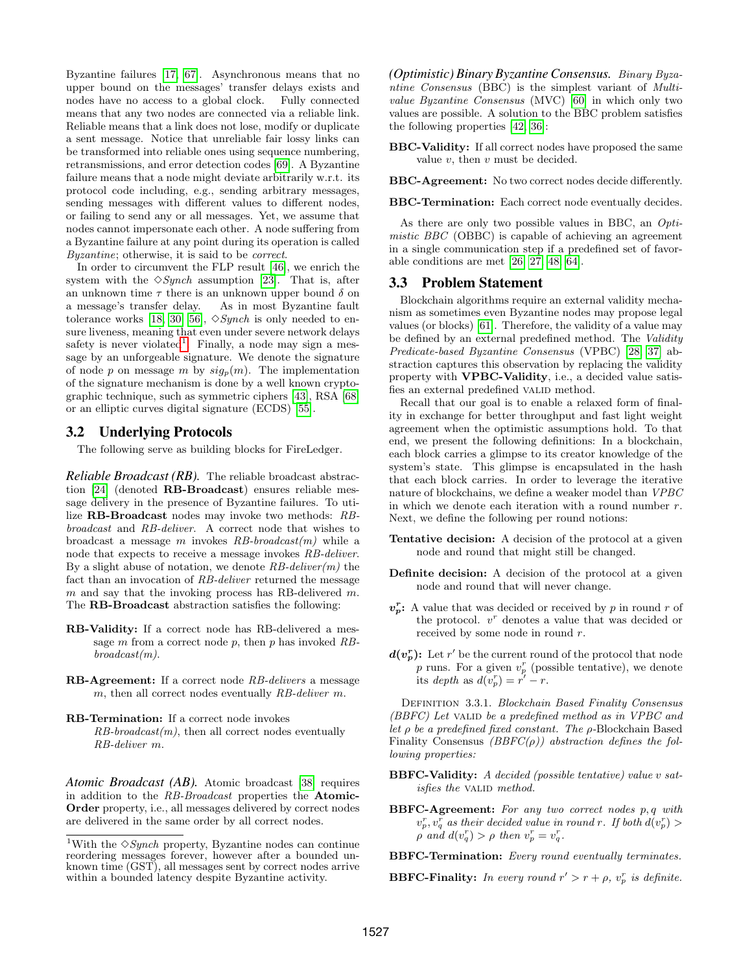Byzantine failures [\[17,](#page-12-23) [67\]](#page-13-21). Asynchronous means that no upper bound on the messages' transfer delays exists and nodes have no access to a global clock. Fully connected means that any two nodes are connected via a reliable link. Reliable means that a link does not lose, modify or duplicate a sent message. Notice that unreliable fair lossy links can be transformed into reliable ones using sequence numbering, retransmissions, and error detection codes [\[69\]](#page-13-22). A Byzantine failure means that a node might deviate arbitrarily w.r.t. its protocol code including, e.g., sending arbitrary messages, sending messages with different values to different nodes, or failing to send any or all messages. Yet, we assume that nodes cannot impersonate each other. A node suffering from a Byzantine failure at any point during its operation is called Byzantine; otherwise, it is said to be correct.

In order to circumvent the FLP result [\[46\]](#page-13-8), we enrich the system with the  $\Diamond Synch$  assumption [\[23\]](#page-12-24). That is, after an unknown time  $\tau$  there is an unknown upper bound  $\delta$  on a message's transfer delay. As in most Byzantine fault tolerance works [\[18,](#page-12-3) [30,](#page-12-4) [56\]](#page-13-7),  $\Diamond Synch$  is only needed to ensure liveness, meaning that even under severe network delays safety is never violated<sup>[1](#page-2-0)</sup>. Finally, a node may sign a message by an unforgeable signature. We denote the signature of node p on message m by  $sig_p(m)$ . The implementation of the signature mechanism is done by a well known cryptographic technique, such as symmetric ciphers [\[43\]](#page-13-23), RSA [\[68\]](#page-13-24) or an elliptic curves digital signature (ECDS) [\[55\]](#page-13-25).

## 3.2 Underlying Protocols

The following serve as building blocks for FireLedger.

*Reliable Broadcast (RB).* The reliable broadcast abstraction [\[24\]](#page-12-25) (denoted RB-Broadcast) ensures reliable message delivery in the presence of Byzantine failures. To utilize RB-Broadcast nodes may invoke two methods: RBbroadcast and RB-deliver. A correct node that wishes to broadcast a message m invokes  $RB-broadcast(m)$  while a node that expects to receive a message invokes RB-deliver. By a slight abuse of notation, we denote  $RB\text{-}deliver(m)$  the fact than an invocation of RB-deliver returned the message  $m$  and say that the invoking process has RB-delivered  $m$ . The RB-Broadcast abstraction satisfies the following:

- RB-Validity: If a correct node has RB-delivered a message  $m$  from a correct node  $p$ , then  $p$  has invoked  $RB$  $broadcast(m)$ .
- RB-Agreement: If a correct node RB-delivers a message  $m$ , then all correct nodes eventually  $RB$ -deliver m.
- RB-Termination: If a correct node invokes  $RB-broadcast(m)$ , then all correct nodes eventually RB-deliver m.

*Atomic Broadcast (AB).* Atomic broadcast [\[38\]](#page-13-26) requires in addition to the RB-Broadcast properties the Atomic-Order property, i.e., all messages delivered by correct nodes are delivered in the same order by all correct nodes.

*(Optimistic) Binary Byzantine Consensus.* Binary Byzantine Consensus (BBC) is the simplest variant of Multivalue Byzantine Consensus (MVC) [\[60\]](#page-13-6) in which only two values are possible. A solution to the BBC problem satisfies the following properties [\[42,](#page-13-10) [36\]](#page-12-26):

BBC-Validity: If all correct nodes have proposed the same value  $v$ , then  $v$  must be decided.

BBC-Agreement: No two correct nodes decide differently.

BBC-Termination: Each correct node eventually decides.

As there are only two possible values in BBC, an Optimistic BBC (OBBC) is capable of achieving an agreement in a single communication step if a predefined set of favorable conditions are met [\[26,](#page-12-27) [27,](#page-12-28) [48,](#page-13-14) [64\]](#page-13-27).

## 3.3 Problem Statement

Blockchain algorithms require an external validity mechanism as sometimes even Byzantine nodes may propose legal values (or blocks) [\[61\]](#page-13-28). Therefore, the validity of a value may be defined by an external predefined method. The Validity Predicate-based Byzantine Consensus (VPBC) [\[28,](#page-12-29) [37\]](#page-12-20) abstraction captures this observation by replacing the validity property with VPBC-Validity, i.e., a decided value satisfies an external predefined VALID method.

Recall that our goal is to enable a relaxed form of finality in exchange for better throughput and fast light weight agreement when the optimistic assumptions hold. To that end, we present the following definitions: In a blockchain, each block carries a glimpse to its creator knowledge of the system's state. This glimpse is encapsulated in the hash that each block carries. In order to leverage the iterative nature of blockchains, we define a weaker model than VPBC in which we denote each iteration with a round number r. Next, we define the following per round notions:

- Tentative decision: A decision of the protocol at a given node and round that might still be changed.
- Definite decision: A decision of the protocol at a given node and round that will never change.
- $v_p^r$ : A value that was decided or received by p in round r of the protocol.  $v^r$  denotes a value that was decided or received by some node in round r.
- $d(v_p^r)$ : Let r' be the current round of the protocol that node p runs. For a given  $v_p^r$  (possible tentative), we denote its depth as  $d(v_p^r) = r' - r$ .

DEFINITION 3.3.1. Blockchain Based Finality Consensus (BBFC) Let VALID be a predefined method as in VPBC and let  $\rho$  be a predefined fixed constant. The  $\rho$ -Blockchain Based Finality Consensus  $(BBFC(\rho))$  abstraction defines the following properties:

- BBFC-Validity: A decided (possible tentative) value v satisfies the VALID method.
- BBFC-Agreement: For any two correct nodes p, q with  $v_p^r, v_q^r$  as their decided value in round r. If both  $d(v_p^r) >$  $\rho$  and  $d(v_q^r) > \rho$  then  $v_p^r = v_q^r$ .

**BBFC-Finality:** In every round  $r' > r + \rho$ ,  $v_p^r$  is definite.

<span id="page-2-0"></span> $^1\text{With the} \diamond$  Synch property, Byzantine nodes can continue reordering messages forever, however after a bounded unknown time (GST), all messages sent by correct nodes arrive within a bounded latency despite Byzantine activity.

BBFC-Termination: Every round eventually terminates.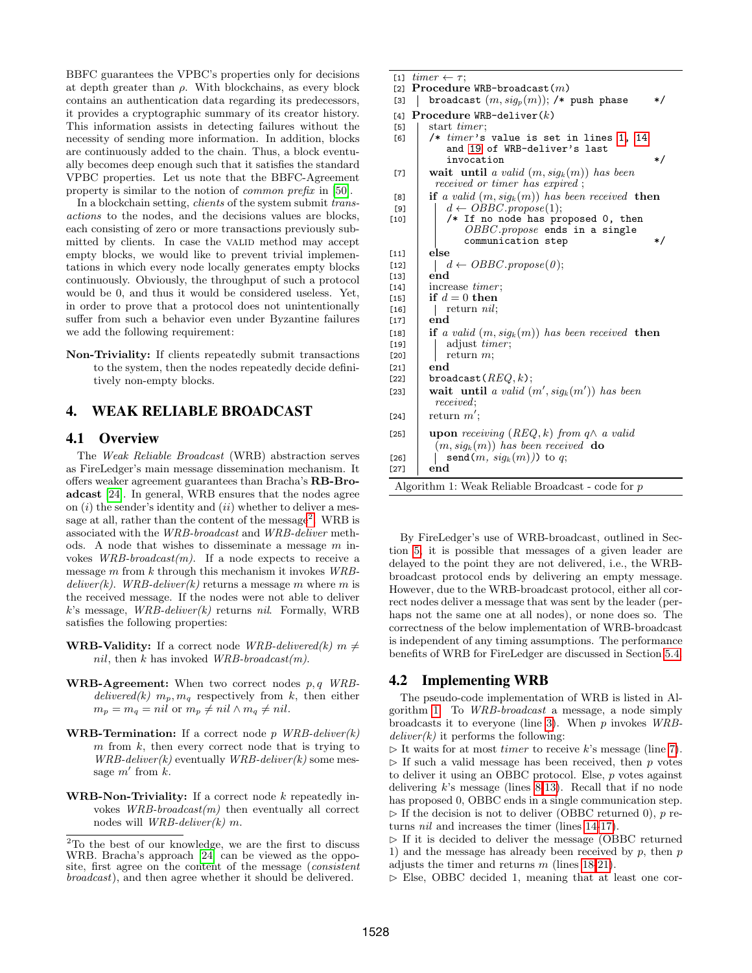BBFC guarantees the VPBC's properties only for decisions at depth greater than  $\rho$ . With blockchains, as every block contains an authentication data regarding its predecessors, it provides a cryptographic summary of its creator history. This information assists in detecting failures without the necessity of sending more information. In addition, blocks are continuously added to the chain. Thus, a block eventually becomes deep enough such that it satisfies the standard VPBC properties. Let us note that the BBFC-Agreement property is similar to the notion of common prefix in [\[50\]](#page-13-29).

In a blockchain setting, clients of the system submit transactions to the nodes, and the decisions values are blocks, each consisting of zero or more transactions previously submitted by clients. In case the VALID method may accept empty blocks, we would like to prevent trivial implementations in which every node locally generates empty blocks continuously. Obviously, the throughput of such a protocol would be 0, and thus it would be considered useless. Yet, in order to prove that a protocol does not unintentionally suffer from such a behavior even under Byzantine failures we add the following requirement:

Non-Triviality: If clients repeatedly submit transactions to the system, then the nodes repeatedly decide definitively non-empty blocks.

## <span id="page-3-16"></span>4. WEAK RELIABLE BROADCAST

## 4.1 Overview

The Weak Reliable Broadcast (WRB) abstraction serves as FireLedger's main message dissemination mechanism. It offers weaker agreement guarantees than Bracha's RB-Broadcast [\[24\]](#page-12-25). In general, WRB ensures that the nodes agree on  $(i)$  the sender's identity and  $(ii)$  whether to deliver a mes-sage at all, rather than the content of the message<sup>[2](#page-3-0)</sup>. WRB is associated with the WRB-broadcast and WRB-deliver methods. A node that wishes to disseminate a message  $m$  invokes  $WRB-broadcast(m)$ . If a node expects to receive a message  $m$  from  $k$  through this mechanism it invokes  $WRB$ deliver(k). WRB-deliver(k) returns a message m where m is the received message. If the nodes were not able to deliver  $k$ 's message, *WRB-deliver(k)* returns *nil.* Formally, WRB satisfies the following properties:

- **WRB-Validity:** If a correct node *WRB-delivered*(k)  $m \neq$ nil, then k has invoked  $WRB-broadcast(m)$ .
- **WRB-Agreement:** When two correct nodes  $p, q$  WRBdelivered(k)  $m_p, m_q$  respectively from k, then either  $m_p = m_q = nil$  or  $m_p \neq nil \wedge m_q \neq nil.$
- **WRB-Termination:** If a correct node p  $WRB\text{-}deliver(k)$  $m$  from  $k$ , then every correct node that is trying to  $WRB\text{-}deliver(k)$  eventually  $WRB\text{-}deliver(k)$  some message  $m'$  from  $k$ .
- **WRB-Non-Triviality:** If a correct node  $k$  repeatedly invokes  $WRB-broadcast(m)$  then eventually all correct nodes will  $WRB\text{-}deliver(k)$  m.

<span id="page-3-8"></span><span id="page-3-7"></span><span id="page-3-6"></span><span id="page-3-5"></span><span id="page-3-4"></span><span id="page-3-2"></span><span id="page-3-1"></span>

| $timer \leftarrow \tau;$<br>$[1]$                                  |                                           |  |  |  |  |  |
|--------------------------------------------------------------------|-------------------------------------------|--|--|--|--|--|
| <b>Procedure WRB-broadcast</b> $(m)$<br>$[2]$                      |                                           |  |  |  |  |  |
| broadcast $(m, sig_p(m))$ ; /* push phase<br>[3]                   | */                                        |  |  |  |  |  |
| $Procedure$ WRB-deliver(k)<br>[4]                                  |                                           |  |  |  |  |  |
| start <i>timer</i> ;<br>[5]                                        |                                           |  |  |  |  |  |
| [6]                                                                | /* $timer$ 's value is set in lines 1, 14 |  |  |  |  |  |
| and 19 of WRB-deliver's last                                       |                                           |  |  |  |  |  |
| invocation                                                         | $\ast/$                                   |  |  |  |  |  |
| wait until a valid $(m, sig_k(m))$ has been<br>[7]                 |                                           |  |  |  |  |  |
| received or timer has expired;                                     |                                           |  |  |  |  |  |
| if a valid $(m, sig_k(m))$ has been received then<br>[8]           |                                           |  |  |  |  |  |
| $d \leftarrow \textit{OBBC}.\textit{propose}(1);$<br>$[9]$         |                                           |  |  |  |  |  |
| /* If no node has proposed 0, then<br>$[10]$                       |                                           |  |  |  |  |  |
| $OBBC$ . propose ends in a single                                  |                                           |  |  |  |  |  |
| communication step                                                 | */                                        |  |  |  |  |  |
| else<br>$[11]$                                                     |                                           |  |  |  |  |  |
| $d \leftarrow \textit{OBBC}.\textit{propose}(0);$<br>$[12]$        |                                           |  |  |  |  |  |
| end<br>$[13]$                                                      |                                           |  |  |  |  |  |
| increase <i>timer</i> ;<br>$[14]$                                  |                                           |  |  |  |  |  |
| if $d=0$ then<br>$[15]$                                            |                                           |  |  |  |  |  |
| $[16]$                                                             | return $nil;$                             |  |  |  |  |  |
| end<br>$[17]$                                                      |                                           |  |  |  |  |  |
| if a valid $(m, sig_k(m))$ has been received then<br>$[18]$        |                                           |  |  |  |  |  |
| adjust <i>timer</i> ;<br>$[19]$                                    |                                           |  |  |  |  |  |
| return $m$ ;<br>[20]                                               |                                           |  |  |  |  |  |
| end<br>$[21]$                                                      |                                           |  |  |  |  |  |
| $b$ roadcast $(REQ, k);$<br>$[22]$                                 |                                           |  |  |  |  |  |
| wait until a valid $(m', sig_k(m'))$ has been<br>[23]              |                                           |  |  |  |  |  |
| <i>received</i> :                                                  |                                           |  |  |  |  |  |
| return $m'$ :<br>$[24]$                                            |                                           |  |  |  |  |  |
| <b>upon</b> receiving $(REQ, k)$ from $q \wedge a$ valid<br>$[25]$ |                                           |  |  |  |  |  |
| $(m, sig_k(m))$ has been received <b>do</b>                        |                                           |  |  |  |  |  |
| send $(m, sig_k(m))$ to q;<br>$[26]$                               |                                           |  |  |  |  |  |
| end<br>$[27]$                                                      |                                           |  |  |  |  |  |
| Algorithm 1: Weak Reliable Broadcast - code for $p$                |                                           |  |  |  |  |  |

<span id="page-3-15"></span><span id="page-3-14"></span><span id="page-3-13"></span><span id="page-3-12"></span><span id="page-3-11"></span><span id="page-3-10"></span><span id="page-3-9"></span><span id="page-3-3"></span>By FireLedger's use of WRB-broadcast, outlined in Section [5,](#page-4-0) it is possible that messages of a given leader are delayed to the point they are not delivered, i.e., the WRBbroadcast protocol ends by delivering an empty message. However, due to the WRB-broadcast protocol, either all correct nodes deliver a message that was sent by the leader (perhaps not the same one at all nodes), or none does so. The correctness of the below implementation of WRB-broadcast is independent of any timing assumptions. The performance benefits of WRB for FireLedger are discussed in Section [5.4.](#page-6-0)

## 4.2 Implementing WRB

The pseudo-code implementation of WRB is listed in Algorithm [1.](#page-3-4) To WRB-broadcast a message, a node simply broadcasts it to everyone (line [3\)](#page-3-5). When p invokes WRB $deliver(k)$  it performs the following:

 $\triangleright$  It waits for at most *timer* to receive k's message (line [7\)](#page-3-6).  $\triangleright$  If such a valid message has been received, then p votes to deliver it using an OBBC protocol. Else, p votes against delivering  $k$ 's message (lines [8-](#page-3-7)[13\)](#page-3-8). Recall that if no node has proposed 0, OBBC ends in a single communication step.  $\triangleright$  If the decision is not to deliver (OBBC returned 0), p returns nil and increases the timer (lines [14-](#page-3-2)[17\)](#page-3-9).

 $\triangleright$  If it is decided to deliver the message (OBBC returned 1) and the message has already been received by  $p$ , then  $p$ adjusts the timer and returns  $m$  (lines [18-](#page-3-10)[21\)](#page-3-11).

 $\triangleright$  Else, OBBC decided 1, meaning that at least one cor-

<span id="page-3-0"></span><sup>2</sup>To the best of our knowledge, we are the first to discuss WRB. Bracha's approach [\[24\]](#page-12-25) can be viewed as the opposite, first agree on the content of the message (consistent broadcast), and then agree whether it should be delivered.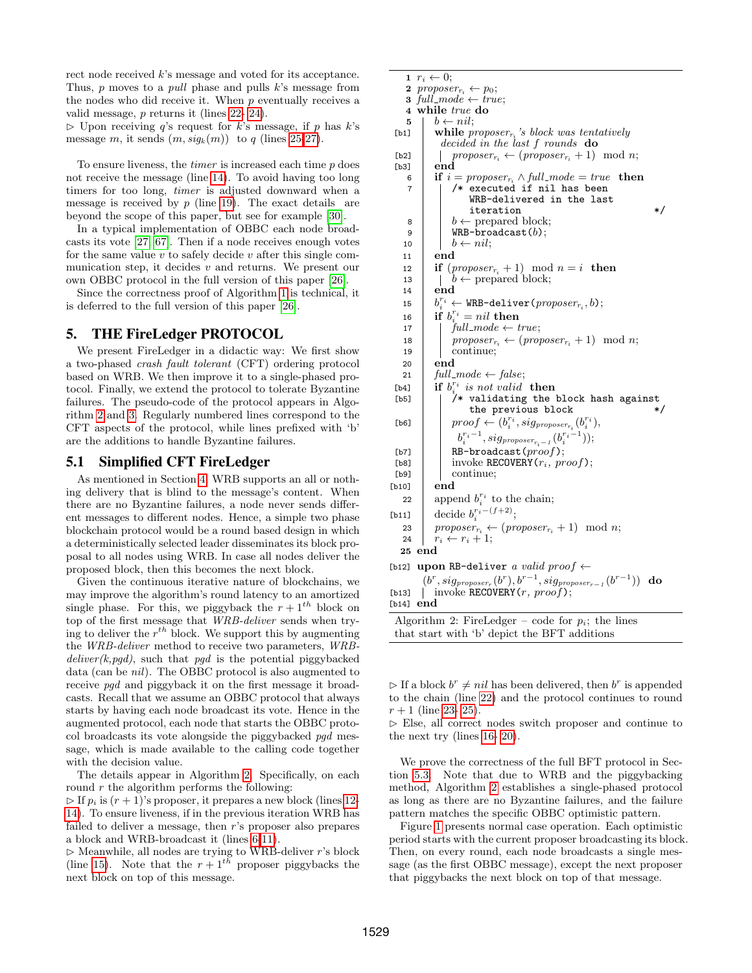rect node received k's message and voted for its acceptance. Thus,  $p$  moves to a *pull* phase and pulls  $k$ 's message from the nodes who did receive it. When  $p$  eventually receives a valid message, p returns it (lines [22-](#page-3-12) [24\)](#page-3-13).

 $\triangleright$  Upon receiving q's request for k's message, if p has k's message m, it sends  $(m, sig_k(m))$  to q (lines [25-](#page-3-14)[27\)](#page-3-15).

To ensure liveness, the *timer* is increased each time  $p$  does not receive the message (line [14\)](#page-3-2). To avoid having too long timers for too long, timer is adjusted downward when a message is received by  $p$  (line [19\)](#page-3-3). The exact details are beyond the scope of this paper, but see for example [\[30\]](#page-12-4).

In a typical implementation of OBBC each node broadcasts its vote [\[27,](#page-12-28) [67\]](#page-13-21). Then if a node receives enough votes for the same value  $v$  to safely decide  $v$  after this single communication step, it decides  $v$  and returns. We present our own OBBC protocol in the full version of this paper [\[26\]](#page-12-27).

Since the correctness proof of Algorithm [1](#page-3-4) is technical, it is deferred to the full version of this paper [\[26\]](#page-12-27).

## <span id="page-4-0"></span>5. THE FireLedger PROTOCOL

We present FireLedger in a didactic way: We first show a two-phased crash fault tolerant (CFT) ordering protocol based on WRB. We then improve it to a single-phased protocol. Finally, we extend the protocol to tolerate Byzantine failures. The pseudo-code of the protocol appears in Algorithm [2](#page-4-1) and [3.](#page-5-0) Regularly numbered lines correspond to the CFT aspects of the protocol, while lines prefixed with 'b' are the additions to handle Byzantine failures.

#### 5.1 Simplified CFT FireLedger

As mentioned in Section [4,](#page-3-16) WRB supports an all or nothing delivery that is blind to the message's content. When there are no Byzantine failures, a node never sends different messages to different nodes. Hence, a simple two phase blockchain protocol would be a round based design in which a deterministically selected leader disseminates its block proposal to all nodes using WRB. In case all nodes deliver the proposed block, then this becomes the next block.

Given the continuous iterative nature of blockchains, we may improve the algorithm's round latency to an amortized single phase. For this, we piggyback the  $r + 1<sup>th</sup>$  block on top of the first message that WRB-deliver sends when trying to deliver the  $r^{th}$  block. We support this by augmenting the WRB-deliver method to receive two parameters, WRB $deliver(k, p q d)$ , such that pgd is the potential piggybacked data (can be nil). The OBBC protocol is also augmented to receive *pgd* and piggyback it on the first message it broadcasts. Recall that we assume an OBBC protocol that always starts by having each node broadcast its vote. Hence in the augmented protocol, each node that starts the OBBC protocol broadcasts its vote alongside the piggybacked pgd message, which is made available to the calling code together with the decision value.

The details appear in Algorithm [2.](#page-4-1) Specifically, on each round  $r$  the algorithm performs the following:

 $\triangleright$  If  $p_i$  is  $(r + 1)$ 's proposer, it prepares a new block (lines [12-](#page-4-2) [14\)](#page-4-3). To ensure liveness, if in the previous iteration WRB has failed to deliver a message, then r's proposer also prepares a block and WRB-broadcast it (lines [6-](#page-4-4)[11\)](#page-4-5).

 $\triangleright$  Meanwhile, all nodes are trying to WRB-deliver r's block (line [15\)](#page-4-6). Note that the  $r + 1^{t\tilde{h}}$  proposer piggybacks the next block on top of this message.

```
1 r_i \leftarrow 0;
    2 proposer_{r_i} \leftarrow p_0;
    3 full_mode \leftarrow true;4 while true do
    5 \mid b \leftarrow nil;[b1] while proposer<sub>ri</sub>'s block was tentatively
              decided in the last f rounds do
 [b2] \begin{array}{|l|}\n\hline\n\text{[b3]} & \text{proposer}_{r_i} \leftarrow (proposer_{r_i} + 1) \mod n;\n\hline\n\text{[b3]} & \text{end}\n\end{array}\overline{\text{end}}6 if i = \text{proposer}_{r_i} \wedge \text{full-mode} = \text{true} then<br>7 i /* executed if nil has been
                 /* executed if nil has been
                      WRB-delivered in the last
                      iteration
    \begin{array}{c|c} \hline \text{8} & \end{array} | b \leftarrow prepared block;
     9 | WRB-broadcast(b);
   10 \vert \quad b \leftarrow nil;11 end
   12 if (proposer_{r_i} + 1) \mod n = i then<br>
13 \mid b \leftarrow prepared block;
                 b \leftarrow prepared block;
   14 end
   15 b
              r_i^{r_i} \leftarrow \texttt{WRB-deliver}(proposer_{r_i}, b);16 if b_{i}^{r_i} = nil then
   17 \int full-mode \leftarrow true;18 proposerr_i \leftarrow (proposer_{r_i} + 1) \mod n;<br>19 continue:
                 continue:
   20 end
   21 full mode \leftarrow false;
 [b4] if b_i^{r_i} is not valid then
 i
[b5] /* validating the block hash against
                      the previous block *[b6] \boxed{\qquad} proof \leftarrow (b_i^{r_i}, sig_{proposer_{r_i}}(b_i^{r_i}),b_i^{r_i-1}, sig_{proposer_{r_i-1}}(b_i^{r_i-1});[b7] RB-broadcast(\text{proof});<br>[b8] invoke RECOVERY(r_i, \text{or}[b8] invoke RECOVERY(r_i, \text{proof});<br>[b9] continue:
                 continue;
[b10] end
    22 append b_i^{r_i} to the chain;
[b11] decide b_i^{r_i-(f+2)};
   23 proposerr_i \leftarrow (proposer_{r_i} + 1) \mod n;<br>24 r_i \leftarrow r_i + 1;r_i \leftarrow r_i + 1;25 end
[b12] upon RB-deliver a valid proof \leftarrow(b^r, sig_{proposer_r}(b^r), b^{r-1}, sig_{proposer_{r-1}}(b^{r-1})) do
[b13] | invoke RECOVERY(r, proof);
[b<sub>14</sub>] end
 Algorithm 2: FireLedger – code for p_i; the lines
 that start with 'b' depict the BFT additions
```
<span id="page-4-9"></span><span id="page-4-8"></span><span id="page-4-7"></span><span id="page-4-1"></span> $\triangleright$  If a block  $b^r \neq nil$  has been delivered, then  $b^r$  is appended to the chain (line [22\)](#page-4-7) and the protocol continues to round  $r + 1$  (line [23-](#page-4-8) [25\)](#page-4-9).

 $\triangleright$  Else, all correct nodes switch proposer and continue to the next try (lines [16-](#page-4-10) [20\)](#page-4-11).

We prove the correctness of the full BFT protocol in Section [5.3.](#page-5-1) Note that due to WRB and the piggybacking method, Algorithm [2](#page-4-1) establishes a single-phased protocol as long as there are no Byzantine failures, and the failure pattern matches the specific OBBC optimistic pattern.

Figure [1](#page-5-2) presents normal case operation. Each optimistic period starts with the current proposer broadcasting its block. Then, on every round, each node broadcasts a single message (as the first OBBC message), except the next proposer that piggybacks the next block on top of that message.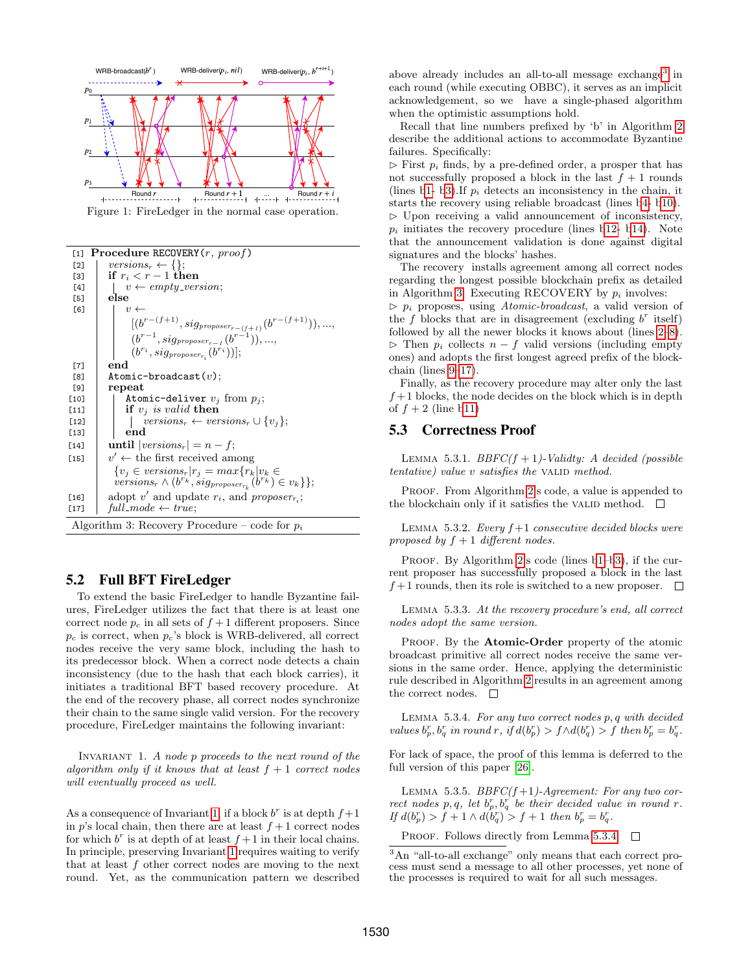<span id="page-5-2"></span>

Figure 1: FireLedger in the normal case operation.

<span id="page-5-7"></span><span id="page-5-6"></span><span id="page-5-5"></span>

| [1]    | <b>Procedure RECOVERY</b> $(r, \text{proof})$                                                                                         |
|--------|---------------------------------------------------------------------------------------------------------------------------------------|
| [2]    | versions <sub>r</sub> $\leftarrow \{\};$                                                                                              |
| [3]    | if $r_i < r-1$ then                                                                                                                   |
| [4]    | $v \leftarrow empty\_version;$                                                                                                        |
| [5]    | else                                                                                                                                  |
| [6]    | $v \leftarrow$                                                                                                                        |
|        | $[(b^{r-(f+1)}, sig_{proposer_{r-(f+1)}}(b^{r-(f+1)})), ,$                                                                            |
|        | $(b^{r-1},sig_{proposer_{r-1}}(b^{r-1})),,$                                                                                           |
|        | $(b^{r_i}, sig_{proposer_{ri}}(b^{r_i}))$ ;                                                                                           |
| [7]    | end                                                                                                                                   |
| [8]    | Atomic-broadcast $(v)$ ;                                                                                                              |
| [9]    | repeat                                                                                                                                |
| [10]   | Atomic-deliver $v_i$ from $p_i$ ;                                                                                                     |
| $[11]$ | if $v_i$ is valid then                                                                                                                |
| $[12]$ | $versions_r \leftarrow versions_r \cup \{v_i\};$                                                                                      |
| $[13]$ | end                                                                                                                                   |
| $[14]$ | <b>until</b> $ versions_r  = n - f;$                                                                                                  |
| $[15]$ | $v' \leftarrow$ the first received among                                                                                              |
|        | ${v_i \in versions_r   r_j = max\{r_k   v_k \in$<br>versions <sub>r</sub> $\wedge (b^{r_k}, sig_{proposer_{r_k}}(b^{r_k}) \in v_k)$ ; |
| $[16]$ | adopt v' and update $r_i$ , and proposer <sub>r<sub>i</sub></sub> ;                                                                   |
| $[17]$ | $full$ <sub>-mode</sub> $\leftarrow$ true;                                                                                            |
|        | Algorithm 3: Recovery Procedure – code for $p_i$                                                                                      |

## <span id="page-5-8"></span><span id="page-5-0"></span>5.2 Full BFT FireLedger

To extend the basic FireLedger to handle Byzantine failures, FireLedger utilizes the fact that there is at least one correct node  $p_c$  in all sets of  $f+1$  different proposers. Since  $p_c$  is correct, when  $p_c$ 's block is WRB-delivered, all correct nodes receive the very same block, including the hash to its predecessor block. When a correct node detects a chain inconsistency (due to the hash that each block carries), it initiates a traditional BFT based recovery procedure. At the end of the recovery phase, all correct nodes synchronize their chain to the same single valid version. For the recovery procedure, FireLedger maintains the following invariant:

INVARIANT 1. A node  $p$  proceeds to the next round of the algorithm only if it knows that at least  $f + 1$  correct nodes will eventually proceed as well.

As a consequence of Invariant [1,](#page-5-3) if a block  $b^r$  is at depth  $f+1$ in p's local chain, then there are at least  $f + 1$  correct nodes for which  $b^r$  is at depth of at least  $f+1$  in their local chains. In principle, preserving Invariant [1](#page-5-3) requires waiting to verify that at least  $f$  other correct nodes are moving to the next round. Yet, as the communication pattern we described

above already includes an all-to-all message exchange<sup>[3](#page-5-4)</sup> in each round (while executing OBBC), it serves as an implicit acknowledgement, so we have a single-phased algorithm when the optimistic assumptions hold.

Recall that line numbers prefixed by 'b' in Algorithm [2](#page-4-1) describe the additional actions to accommodate Byzantine failures. Specifically:

 $\triangleright$  First  $p_i$  finds, by a pre-defined order, a prosper that has not successfully proposed a block in the last  $f + 1$  rounds (lines [b1-](#page-4-12) [b3\)](#page-4-13). If  $p_i$  detects an inconsistency in the chain, it starts the recovery using reliable broadcast (lines [b4-](#page-4-14) [b10\)](#page-4-15).  $\triangleright$  Upon receiving a valid announcement of inconsistency,  $p_i$  initiates the recovery procedure (lines [b12-](#page-4-2) [b14\)](#page-4-3). Note that the announcement validation is done against digital signatures and the blocks' hashes.

The recovery installs agreement among all correct nodes regarding the longest possible blockchain prefix as detailed in Algorithm [3.](#page-5-0) Executing RECOVERY by  $p_i$  involves:  $\triangleright$   $p_i$  proposes, using *Atomic-broadcast*, a valid version of the  $f$  blocks that are in disagreement (excluding  $b^r$  itself) followed by all the newer blocks it knows about (lines [2–](#page-5-5)[8\)](#page-5-6).  $\triangleright$  Then  $p_i$  collects  $n - f$  valid versions (including empty ones) and adopts the first longest agreed prefix of the blockchain (lines [9](#page-5-7)[–17\)](#page-5-8).

Finally, as the recovery procedure may alter only the last  $f+1$  blocks, the node decides on the block which is in depth of  $f + 2$  (line [b11\)](#page-4-5)

#### <span id="page-5-10"></span><span id="page-5-1"></span>5.3 Correctness Proof

LEMMA 5.3.1.  $BBFC(f + 1)$ -Validty: A decided (possible  $tentative$ ) value v satisfies the VALID method.

PROOF. From Algorithm [2'](#page-4-1)s code, a value is appended to the blockchain only if it satisfies the valid method.  $\Box$ 

LEMMA 5.3.2. Every  $f+1$  consecutive decided blocks were proposed by  $f + 1$  different nodes.

PROOF. By Algorithm [2'](#page-4-1)s code (lines b1-[b3\)](#page-4-13), if the current proposer has successfully proposed a block in the last  $f+1$  rounds, then its role is switched to a new proposer.  $\Box$ 

Lemma 5.3.3. At the recovery procedure's end, all correct nodes adopt the same version.

PROOF. By the **Atomic-Order** property of the atomic broadcast primitive all correct nodes receive the same versions in the same order. Hence, applying the deterministic rule described in Algorithm [2](#page-4-1) results in an agreement among the correct nodes.  $\square$ 

<span id="page-5-9"></span><span id="page-5-3"></span>LEMMA 5.3.4. For any two correct nodes  $p, q$  with decided values  $b_p^r, b_q^r$  in round r, if  $d(b_p^r) > f \wedge d(b_q^r) > f$  then  $b_p^r = b_q^r$ .

For lack of space, the proof of this lemma is deferred to the full version of this paper [\[26\]](#page-12-27).

<span id="page-5-11"></span>LEMMA 5.3.5.  $BBFC(f+1)$ -Agreement: For any two correct nodes p, q, let  $b_p^r, b_q^r$  be their decided value in round r. If  $d(b_p^r) > f + 1 \wedge d(b_q^r) > f + 1$  then  $b_p^r = b_q^r$ .

PROOF. Follows directly from Lemma [5.3.4.](#page-5-9)  $\Box$ 

<span id="page-5-4"></span><sup>3</sup>An "all-to-all exchange" only means that each correct process must send a message to all other processes, yet none of the processes is required to wait for all such messages.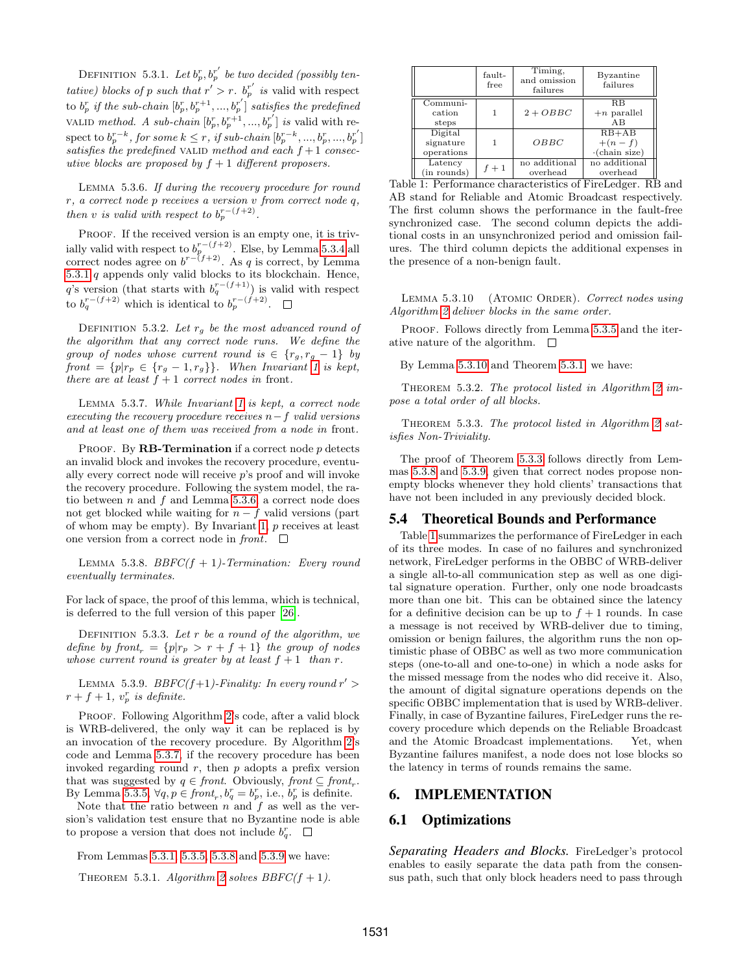DEFINITION 5.3.1. Let  $b_p^r, b_p^{r'}$  be two decided (possibly tentative) blocks of p such that  $r' > r$ .  $b_p^{r'}$  is valid with respect to  $b_p^r$  if the sub-chain  $[b_p^r, b_p^{r+1}, ..., b_p^{r'}]$  satisfies the predefined VALID method. A sub-chain  $[b_p^r, b_p^{r+1}, ..., b_p^{r'}]$  is valid with respect to  $b_p^{r-k}$ , for some  $k \leq r$ , if sub-chain  $[b_p^{r-k}, ..., b_p^{r}, ..., b_p^{r'}]$ satisfies the predefined VALID method and each  $f + 1$  consecutive blocks are proposed by  $f + 1$  different proposers.

<span id="page-6-1"></span>Lemma 5.3.6. If during the recovery procedure for round r, a correct node p receives a version v from correct node q, then v is valid with respect to  $b_p^{r-(f+2)}$ .

PROOF. If the received version is an empty one, it is trivially valid with respect to  $b_p^{r-(f+2)}$ . Else, by Lemma [5.3.4](#page-5-9) all correct nodes agree on  $b^{r-(f+2)}$ . As q is correct, by Lemma  $5.3.1$   $q$  appends only valid blocks to its blockchain. Hence, q's version (that starts with  $b_q^{r-(f+1)}$ ) is valid with respect to  $b_q^{r-(f+2)}$  which is identical to  $b_p^{r-(f+2)}$ .

DEFINITION 5.3.2. Let  $r_g$  be the most advanced round of the algorithm that any correct node runs. We define the group of nodes whose current round is  $\in \{r_g, r_g - 1\}$  by front =  $\{p|r_p \in \{r_g - 1, r_g\}\}\$  $\{p|r_p \in \{r_g - 1, r_g\}\}\$  $\{p|r_p \in \{r_g - 1, r_g\}\}\$ . When Invariant 1 is kept, there are at least  $f + 1$  correct nodes in front.

<span id="page-6-2"></span>Lemma 5.3.7. While Invariant [1](#page-5-3) is kept, a correct node  $executing the recovery procedure receives n-f valid versions$ and at least one of them was received from a node in front.

PROOF. By **RB-Termination** if a correct node  $p$  detects an invalid block and invokes the recovery procedure, eventually every correct node will receive p's proof and will invoke the recovery procedure. Following the system model, the ratio between  $n$  and  $f$  and Lemma [5.3.6,](#page-6-1) a correct node does not get blocked while waiting for  $n - f$  valid versions (part of whom may be empty). By Invariant  $1, p$  receives at least one version from a correct node in front.  $\Box$ 

<span id="page-6-3"></span>LEMMA 5.3.8.  $BBFC(f + 1)$ -Termination: Every round eventually terminates.

For lack of space, the proof of this lemma, which is technical, is deferred to the full version of this paper [\[26\]](#page-12-27).

DEFINITION 5.3.3. Let  $r$  be a round of the algorithm, we define by front<sub>r</sub> =  $\{p|r_p > r + f + 1\}$  the group of nodes whose current round is greater by at least  $f + 1$  than r.

<span id="page-6-4"></span>LEMMA 5.3.9.  $BBFC(f+1)$ -Finality: In every round  $r' >$  $r + f + 1$ ,  $v_p^r$  is definite.

PROOF. Following Algorithm [2'](#page-4-1)s code, after a valid block is WRB-delivered, the only way it can be replaced is by an invocation of the recovery procedure. By Algorithm [2'](#page-4-1)s code and Lemma [5.3.7,](#page-6-2) if the recovery procedure has been invoked regarding round  $r$ , then  $p$  adopts a prefix version that was suggested by  $q \in front$ . Obviously,  $front \subseteq front_r$ . By Lemma [5.3.5,](#page-5-11)  $\forall q, p \in front_r, b_q^r = b_p^r$ , i.e.,  $b_p^r$  is definite.

Note that the ratio between  $n$  and  $f$  as well as the version's validation test ensure that no Byzantine node is able to propose a version that does not include  $b_q^r$ .

From Lemmas [5.3.1,](#page-5-10) [5.3.5,](#page-5-11) [5.3.8](#page-6-3) and [5.3.9](#page-6-4) we have:

<span id="page-6-5"></span>THEOREM 5.3.1. Algorithm [2](#page-4-1) solves  $BBFC(f + 1)$ .

<span id="page-6-8"></span>

|                                    | fault-<br>free | Timing,<br>and omission<br>failures | Byzantine<br>failures                       |
|------------------------------------|----------------|-------------------------------------|---------------------------------------------|
| Communi-<br>cation<br>steps        |                | $2 + OBBC$                          | R.B<br>$+n$ parallel<br>AB                  |
| Digital<br>signature<br>operations |                | OBBC                                | $RB+AB$<br>$+(n-f)$<br>$\cdot$ (chain size) |
| Latency<br>(in rounds)             | $f+1$          | no additional<br>overhead           | no additional<br>overhead                   |

Table 1: Performance characteristics of FireLedger. RB and AB stand for Reliable and Atomic Broadcast respectively. The first column shows the performance in the fault-free synchronized case. The second column depicts the additional costs in an unsynchronized period and omission failures. The third column depicts the additional expenses in the presence of a non-benign fault.

LEMMA 5.3.10 (ATOMIC ORDER). Correct nodes using Algorithm [2](#page-4-1) deliver blocks in the same order.

PROOF. Follows directly from Lemma [5.3.5](#page-5-11) and the iterative nature of the algorithm.  $\Box$ 

By Lemma [5.3.10](#page-6-5) and Theorem [5.3.1,](#page-6-6) we have:

THEOREM 5.3.2. The protocol listed in Algorithm [2](#page-4-1) impose a total order of all blocks.

<span id="page-6-7"></span>THEOREM 5.3.3. The protocol listed in Algorithm [2](#page-4-1) satisfies Non-Triviality.

The proof of Theorem [5.3.3](#page-6-7) follows directly from Lemmas [5.3.8](#page-6-3) and [5.3.9,](#page-6-4) given that correct nodes propose nonempty blocks whenever they hold clients' transactions that have not been included in any previously decided block.

#### <span id="page-6-0"></span>5.4 Theoretical Bounds and Performance

Table [1](#page-6-8) summarizes the performance of FireLedger in each of its three modes. In case of no failures and synchronized network, FireLedger performs in the OBBC of WRB-deliver a single all-to-all communication step as well as one digital signature operation. Further, only one node broadcasts more than one bit. This can be obtained since the latency for a definitive decision can be up to  $f + 1$  rounds. In case a message is not received by WRB-deliver due to timing, omission or benign failures, the algorithm runs the non optimistic phase of OBBC as well as two more communication steps (one-to-all and one-to-one) in which a node asks for the missed message from the nodes who did receive it. Also, the amount of digital signature operations depends on the specific OBBC implementation that is used by WRB-deliver. Finally, in case of Byzantine failures, FireLedger runs the recovery procedure which depends on the Reliable Broadcast and the Atomic Broadcast implementations. Yet, when Byzantine failures manifest, a node does not lose blocks so the latency in terms of rounds remains the same.

#### 6. IMPLEMENTATION

#### <span id="page-6-9"></span>6.1 Optimizations

<span id="page-6-6"></span>*Separating Headers and Blocks.* FireLedger's protocol enables to easily separate the data path from the consensus path, such that only block headers need to pass through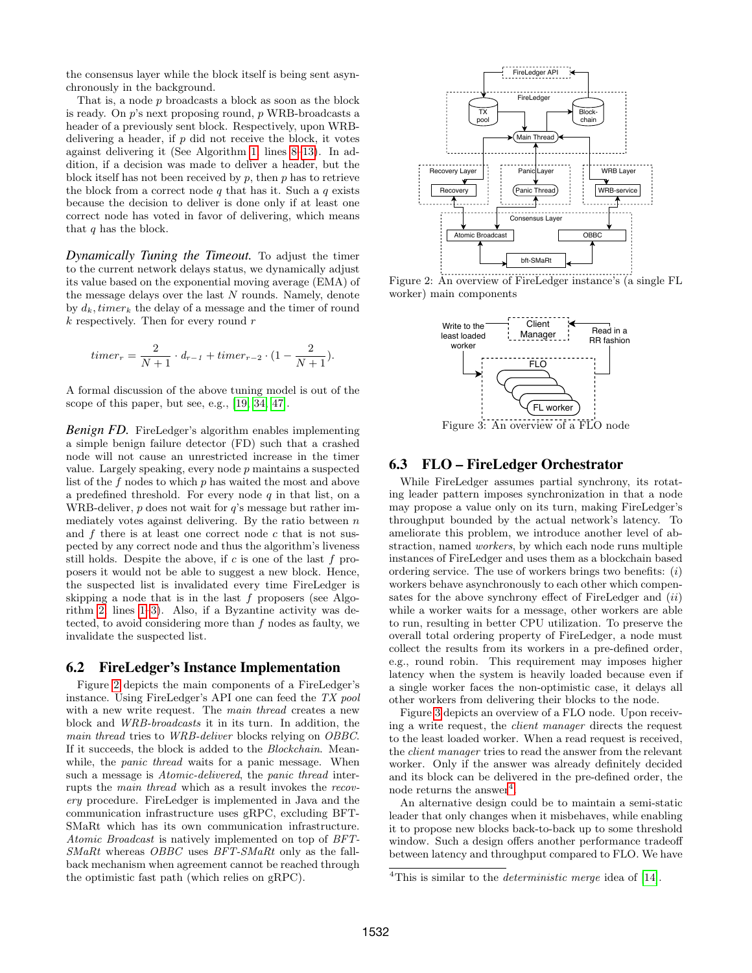the consensus layer while the block itself is being sent asynchronously in the background.

That is, a node p broadcasts a block as soon as the block is ready. On p's next proposing round, p WRB-broadcasts a header of a previously sent block. Respectively, upon WRBdelivering a header, if  $p$  did not receive the block, it votes against delivering it (See Algorithm [1,](#page-3-4) lines [8–](#page-3-7)[13\)](#page-3-8). In addition, if a decision was made to deliver a header, but the block itself has not been received by  $p$ , then  $p$  has to retrieve the block from a correct node  $q$  that has it. Such a  $q$  exists because the decision to deliver is done only if at least one correct node has voted in favor of delivering, which means that  $q$  has the block.

*Dynamically Tuning the Timeout.* To adjust the timer to the current network delays status, we dynamically adjust its value based on the exponential moving average (EMA) of the message delays over the last N rounds. Namely, denote by  $d_k$ , timer<sub>k</sub> the delay of a message and the timer of round  $k$  respectively. Then for every round  $r$ 

$$
timer_r = \frac{2}{N+1} \cdot d_{r-1} + timer_{r-2} \cdot (1 - \frac{2}{N+1}).
$$

A formal discussion of the above tuning model is out of the scope of this paper, but see, e.g., [\[19,](#page-12-30) [34,](#page-12-31) [47\]](#page-13-30).

*Benign FD.* FireLedger's algorithm enables implementing a simple benign failure detector (FD) such that a crashed node will not cause an unrestricted increase in the timer value. Largely speaking, every node p maintains a suspected list of the f nodes to which p has waited the most and above a predefined threshold. For every node  $q$  in that list, on a WRB-deliver,  $p$  does not wait for  $q$ 's message but rather immediately votes against delivering. By the ratio between  $n$ and  $f$  there is at least one correct node  $c$  that is not suspected by any correct node and thus the algorithm's liveness still holds. Despite the above, if  $c$  is one of the last  $f$  proposers it would not be able to suggest a new block. Hence, the suspected list is invalidated every time FireLedger is skipping a node that is in the last  $f$  proposers (see Algorithm [2,](#page-4-1) lines [1](#page-4-12)[–3\)](#page-4-13). Also, if a Byzantine activity was detected, to avoid considering more than  $f$  nodes as faulty, we invalidate the suspected list.

## 6.2 FireLedger's Instance Implementation

Figure [2](#page-7-0) depicts the main components of a FireLedger's instance. Using FireLedger's API one can feed the TX pool with a new write request. The main thread creates a new block and WRB-broadcasts it in its turn. In addition, the main thread tries to WRB-deliver blocks relying on OBBC. If it succeeds, the block is added to the Blockchain. Meanwhile, the *panic thread* waits for a panic message. When such a message is *Atomic-delivered*, the *panic thread* interrupts the main thread which as a result invokes the recovery procedure. FireLedger is implemented in Java and the communication infrastructure uses gRPC, excluding BFT-SMaRt which has its own communication infrastructure. Atomic Broadcast is natively implemented on top of BFT-SMaRt whereas OBBC uses BFT-SMaRt only as the fallback mechanism when agreement cannot be reached through the optimistic fast path (which relies on gRPC).

<span id="page-7-0"></span>

<span id="page-7-1"></span>Figure 2: An overview of FireLedger instance's (a single FL worker) main components



### 6.3 FLO – FireLedger Orchestrator

While FireLedger assumes partial synchrony, its rotating leader pattern imposes synchronization in that a node may propose a value only on its turn, making FireLedger's throughput bounded by the actual network's latency. To ameliorate this problem, we introduce another level of abstraction, named workers, by which each node runs multiple instances of FireLedger and uses them as a blockchain based ordering service. The use of workers brings two benefits:  $(i)$ workers behave asynchronously to each other which compensates for the above synchrony effect of FireLedger and  $(ii)$ while a worker waits for a message, other workers are able to run, resulting in better CPU utilization. To preserve the overall total ordering property of FireLedger, a node must collect the results from its workers in a pre-defined order, e.g., round robin. This requirement may imposes higher latency when the system is heavily loaded because even if a single worker faces the non-optimistic case, it delays all other workers from delivering their blocks to the node.

Figure [3](#page-7-1) depicts an overview of a FLO node. Upon receiving a write request, the client manager directs the request to the least loaded worker. When a read request is received, the client manager tries to read the answer from the relevant worker. Only if the answer was already definitely decided and its block can be delivered in the pre-defined order, the node returns the answer<sup>[4](#page-7-2)</sup>.

An alternative design could be to maintain a semi-static leader that only changes when it misbehaves, while enabling it to propose new blocks back-to-back up to some threshold window. Such a design offers another performance tradeoff between latency and throughput compared to FLO. We have

<span id="page-7-2"></span><sup>&</sup>lt;sup>4</sup>This is similar to the *deterministic merge* idea of [\[14\]](#page-12-32).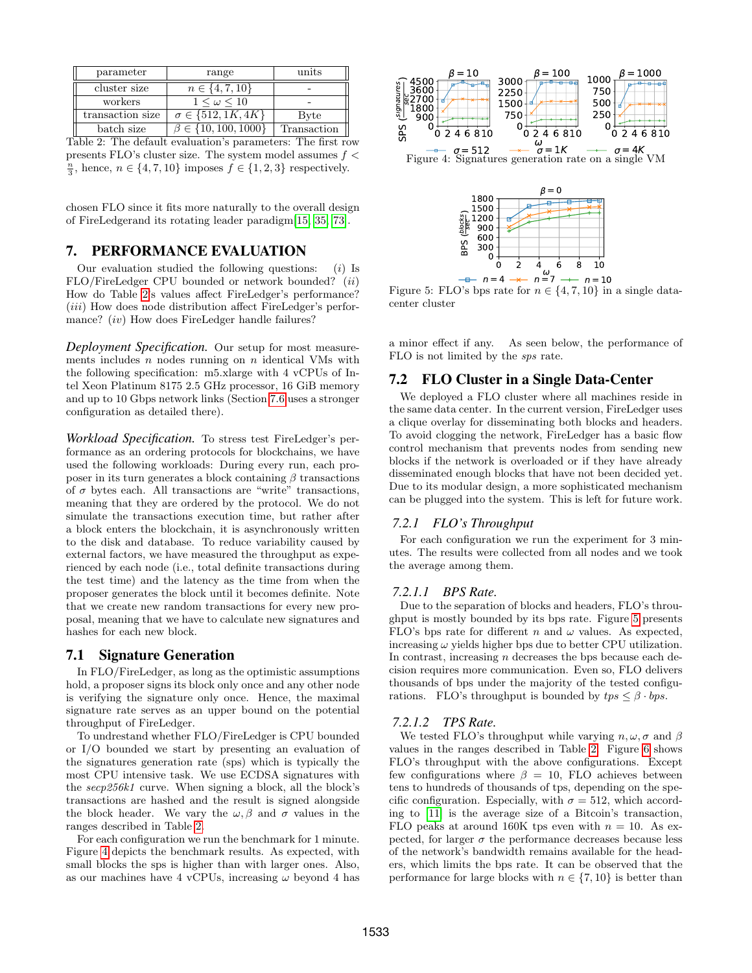<span id="page-8-0"></span>

| parameter        | range                         | units       |
|------------------|-------------------------------|-------------|
| cluster size     | $n \in \{4, 7, 10\}$          |             |
| workers          | $1 \leq \omega \leq 10$       |             |
| transaction size | $\sigma \in \{512, 1K, 4K\}$  | Byte        |
| batch size       | $\beta \in \{10, 100, 1000\}$ | Transaction |

Table 2: The default evaluation's parameters: The first row presents FLO's cluster size. The system model assumes  $f <$  $\frac{n}{3}$ , hence,  $n \in \{4, 7, 10\}$  imposes  $f \in \{1, 2, 3\}$  respectively.

chosen FLO since it fits more naturally to the overall design of FireLedgerand its rotating leader paradigm[\[15,](#page-12-33) [35,](#page-12-34) [73\]](#page-14-3).

# 7. PERFORMANCE EVALUATION

Our evaluation studied the following questions:  $(i)$  Is FLO/FireLedger CPU bounded or network bounded? (ii) How do Table [2'](#page-8-0)s values affect FireLedger's performance?  $(iii)$  How does node distribution affect FireLedger's performance? *(iv)* How does FireLedger handle failures?

*Deployment Specification.* Our setup for most measurements includes  $n$  nodes running on  $n$  identical VMs with the following specification: m5.xlarge with 4 vCPUs of Intel Xeon Platinum 8175 2.5 GHz processor, 16 GiB memory and up to 10 Gbps network links (Section [7.6](#page-11-0) uses a stronger configuration as detailed there).

*Workload Specification.* To stress test FireLedger's performance as an ordering protocols for blockchains, we have used the following workloads: During every run, each proposer in its turn generates a block containing  $\beta$  transactions of  $\sigma$  bytes each. All transactions are "write" transactions, meaning that they are ordered by the protocol. We do not simulate the transactions execution time, but rather after a block enters the blockchain, it is asynchronously written to the disk and database. To reduce variability caused by external factors, we have measured the throughput as experienced by each node (i.e., total definite transactions during the test time) and the latency as the time from when the proposer generates the block until it becomes definite. Note that we create new random transactions for every new proposal, meaning that we have to calculate new signatures and hashes for each new block.

## 7.1 Signature Generation

In FLO/FireLedger, as long as the optimistic assumptions hold, a proposer signs its block only once and any other node is verifying the signature only once. Hence, the maximal signature rate serves as an upper bound on the potential throughput of FireLedger.

To undrestand whether FLO/FireLedger is CPU bounded or I/O bounded we start by presenting an evaluation of the signatures generation rate (sps) which is typically the most CPU intensive task. We use ECDSA signatures with the secp256k1 curve. When signing a block, all the block's transactions are hashed and the result is signed alongside the block header. We vary the  $\omega$ ,  $\beta$  and  $\sigma$  values in the ranges described in Table [2.](#page-8-0)

For each configuration we run the benchmark for 1 minute. Figure [4](#page-8-1) depicts the benchmark results. As expected, with small blocks the sps is higher than with larger ones. Also, as our machines have 4 vCPUs, increasing  $\omega$  beyond 4 has

<span id="page-8-1"></span>

<span id="page-8-2"></span>

Figure 5: FLO's bps rate for  $n \in \{4, 7, 10\}$  in a single datacenter cluster

a minor effect if any. As seen below, the performance of FLO is not limited by the sps rate.

## 7.2 FLO Cluster in a Single Data-Center

We deployed a FLO cluster where all machines reside in the same data center. In the current version, FireLedger uses a clique overlay for disseminating both blocks and headers. To avoid clogging the network, FireLedger has a basic flow control mechanism that prevents nodes from sending new blocks if the network is overloaded or if they have already disseminated enough blocks that have not been decided yet. Due to its modular design, a more sophisticated mechanism can be plugged into the system. This is left for future work.

#### *7.2.1 FLO's Throughput*

For each configuration we run the experiment for 3 minutes. The results were collected from all nodes and we took the average among them.

#### *7.2.1.1 BPS Rate.*

Due to the separation of blocks and headers, FLO's throughput is mostly bounded by its bps rate. Figure [5](#page-8-2) presents FLO's bps rate for different n and  $\omega$  values. As expected, increasing  $\omega$  yields higher bps due to better CPU utilization. In contrast, increasing  $n$  decreases the bps because each decision requires more communication. Even so, FLO delivers thousands of bps under the majority of the tested configurations. FLO's throughput is bounded by  $tps \leq \beta \cdot bps$ .

#### *7.2.1.2 TPS Rate.*

We tested FLO's throughput while varying  $n, \omega, \sigma$  and  $\beta$ values in the ranges described in Table [2.](#page-8-0) Figure [6](#page-9-0) shows FLO's throughput with the above configurations. Except few configurations where  $\beta = 10$ , FLO achieves between tens to hundreds of thousands of tps, depending on the specific configuration. Especially, with  $\sigma = 512$ , which according to [\[11\]](#page-12-35) is the average size of a Bitcoin's transaction, FLO peaks at around 160K tps even with  $n = 10$ . As expected, for larger  $\sigma$  the performance decreases because less of the network's bandwidth remains available for the headers, which limits the bps rate. It can be observed that the performance for large blocks with  $n \in \{7, 10\}$  is better than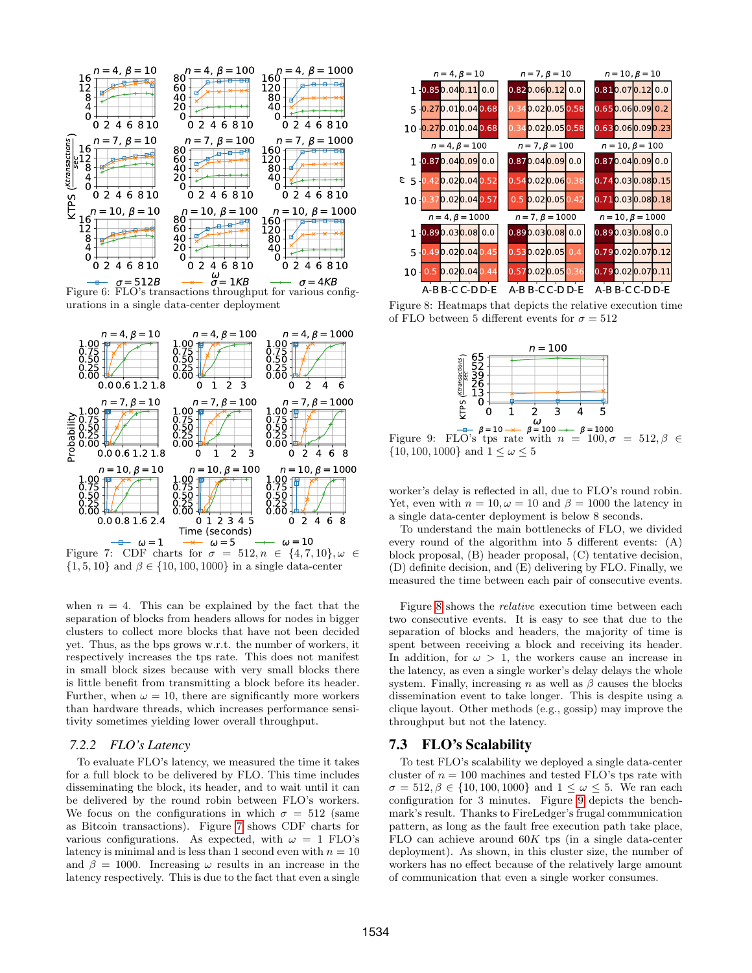<span id="page-9-0"></span>

 $\frac{-\alpha}{\beta} = 512B \quad \rightarrow \quad \vec{\sigma} = 1KB \quad \rightarrow \quad \sigma = 4KB$ <br>Figure 6: FLO's transactions throughput for various configurations in a single data-center deployment

<span id="page-9-1"></span>

 $\{1, 5, 10\}$  and  $\beta \in \{10, 100, 1000\}$  in a single data-center

when  $n = 4$ . This can be explained by the fact that the separation of blocks from headers allows for nodes in bigger clusters to collect more blocks that have not been decided yet. Thus, as the bps grows w.r.t. the number of workers, it respectively increases the tps rate. This does not manifest in small block sizes because with very small blocks there is little benefit from transmitting a block before its header. Further, when  $\omega = 10$ , there are significantly more workers than hardware threads, which increases performance sensitivity sometimes yielding lower overall throughput.

#### *7.2.2 FLO's Latency*

To evaluate FLO's latency, we measured the time it takes for a full block to be delivered by FLO. This time includes disseminating the block, its header, and to wait until it can be delivered by the round robin between FLO's workers. We focus on the configurations in which  $\sigma = 512$  (same as Bitcoin transactions). Figure [7](#page-9-1) shows CDF charts for various configurations. As expected, with  $\omega = 1$  FLO's latency is minimal and is less than 1 second even with  $n = 10$ and  $\beta = 1000$ . Increasing  $\omega$  results in an increase in the latency respectively. This is due to the fact that even a single

<span id="page-9-2"></span>

<span id="page-9-3"></span>Figure 8: Heatmaps that depicts the relative execution time of FLO between 5 different events for  $\sigma = 512$ 



 $= 10 \rightarrow 6 = 100 \rightarrow 6 = 1000$ Figure 9: FLO's tps rate with  $n = 100, \sigma = 512, \beta \in$  $\{10, 100, 1000\}$  and  $1 \leq \omega \leq 5$ 

worker's delay is reflected in all, due to FLO's round robin. Yet, even with  $n = 10, \omega = 10$  and  $\beta = 1000$  the latency in a single data-center deployment is below 8 seconds.

To understand the main bottlenecks of FLO, we divided every round of the algorithm into 5 different events: (A) block proposal, (B) header proposal, (C) tentative decision, (D) definite decision, and (E) delivering by FLO. Finally, we measured the time between each pair of consecutive events.

Figure [8](#page-9-2) shows the relative execution time between each two consecutive events. It is easy to see that due to the separation of blocks and headers, the majority of time is spent between receiving a block and receiving its header. In addition, for  $\omega > 1$ , the workers cause an increase in the latency, as even a single worker's delay delays the whole system. Finally, increasing n as well as  $\beta$  causes the blocks dissemination event to take longer. This is despite using a clique layout. Other methods (e.g., gossip) may improve the throughput but not the latency.

#### 7.3 FLO's Scalability

To test FLO's scalability we deployed a single data-center cluster of  $n = 100$  machines and tested FLO's tps rate with  $\sigma = 512, \beta \in \{10, 100, 1000\}$  and  $1 \leq \omega \leq 5$ . We ran each configuration for 3 minutes. Figure [9](#page-9-3) depicts the benchmark's result. Thanks to FireLedger's frugal communication pattern, as long as the fault free execution path take place, FLO can achieve around  $60K$  tps (in a single data-center deployment). As shown, in this cluster size, the number of workers has no effect because of the relatively large amount of communication that even a single worker consumes.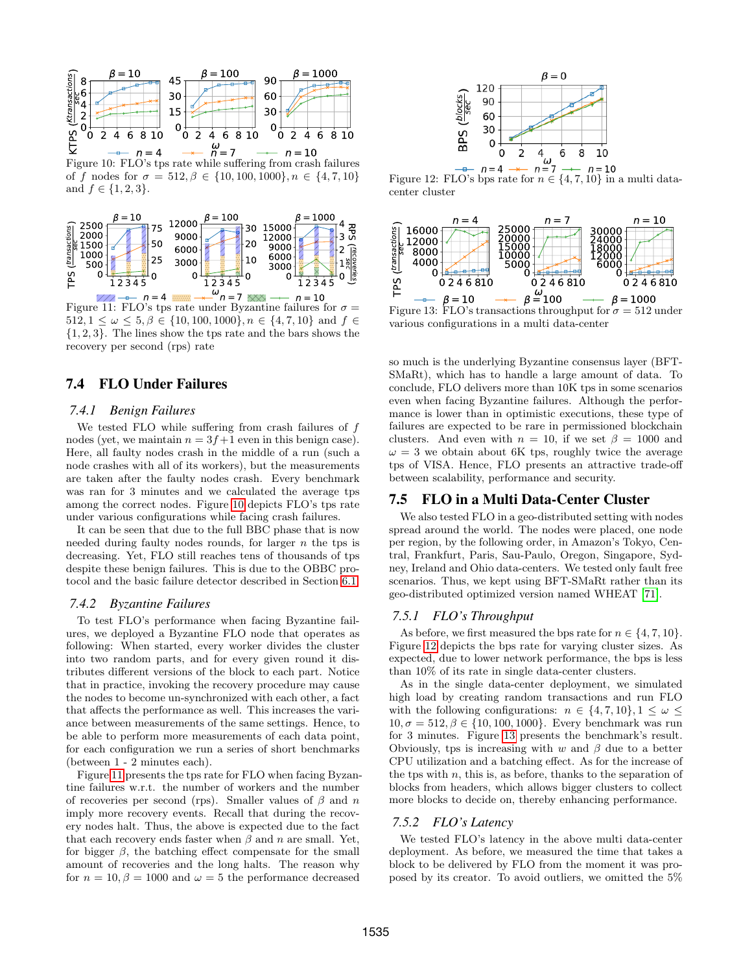<span id="page-10-0"></span>

 $\leq$   $-\rightarrow$   $n=4$   $\rightarrow$   $\overline{n}=7$   $\rightarrow$   $n=10$ <br>Figure 10: FLO's tps rate while suffering from crash failures of f nodes for  $\sigma = 512, \beta \in \{10, 100, 1000\}, n \in \{4, 7, 10\}$ and  $f \in \{1, 2, 3\}.$ 

<span id="page-10-1"></span>

Figure 11: FLO's tps rate under Byzantine failures for  $\sigma =$  $512, 1 \leq \omega \leq 5, \beta \in \{10, 100, 1000\}, n \in \{4, 7, 10\}$  and  $f \in$ {1, 2, 3}. The lines show the tps rate and the bars shows the recovery per second (rps) rate

# 7.4 FLO Under Failures

#### *7.4.1 Benign Failures*

We tested FLO while suffering from crash failures of  $f$ nodes (yet, we maintain  $n = 3f + 1$  even in this benign case). Here, all faulty nodes crash in the middle of a run (such a node crashes with all of its workers), but the measurements are taken after the faulty nodes crash. Every benchmark was ran for 3 minutes and we calculated the average tps among the correct nodes. Figure [10](#page-10-0) depicts FLO's tps rate under various configurations while facing crash failures.

It can be seen that due to the full BBC phase that is now needed during faulty nodes rounds, for larger n the tps is decreasing. Yet, FLO still reaches tens of thousands of tps despite these benign failures. This is due to the OBBC protocol and the basic failure detector described in Section [6.1.](#page-6-9)

#### *7.4.2 Byzantine Failures*

To test FLO's performance when facing Byzantine failures, we deployed a Byzantine FLO node that operates as following: When started, every worker divides the cluster into two random parts, and for every given round it distributes different versions of the block to each part. Notice that in practice, invoking the recovery procedure may cause the nodes to become un-synchronized with each other, a fact that affects the performance as well. This increases the variance between measurements of the same settings. Hence, to be able to perform more measurements of each data point, for each configuration we run a series of short benchmarks (between 1 - 2 minutes each).

Figure [11](#page-10-1) presents the tps rate for FLO when facing Byzantine failures w.r.t. the number of workers and the number of recoveries per second (rps). Smaller values of  $\beta$  and n imply more recovery events. Recall that during the recovery nodes halt. Thus, the above is expected due to the fact that each recovery ends faster when  $\beta$  and n are small. Yet, for bigger  $\beta$ , the batching effect compensate for the small amount of recoveries and the long halts. The reason why for  $n = 10, \beta = 1000$  and  $\omega = 5$  the performance decreased

<span id="page-10-2"></span>

Figure 12: FLO's bps rate for  $n \in \{4, 7, 10\}$  in a multi datacenter cluster

<span id="page-10-3"></span>

Figure 13: FLO's transactions throughput for  $\sigma = 512$  under various configurations in a multi data-center

so much is the underlying Byzantine consensus layer (BFT-SMaRt), which has to handle a large amount of data. To conclude, FLO delivers more than 10K tps in some scenarios even when facing Byzantine failures. Although the performance is lower than in optimistic executions, these type of failures are expected to be rare in permissioned blockchain clusters. And even with  $n = 10$ , if we set  $\beta = 1000$  and  $\omega = 3$  we obtain about 6K tps, roughly twice the average tps of VISA. Hence, FLO presents an attractive trade-off between scalability, performance and security.

## 7.5 FLO in a Multi Data-Center Cluster

We also tested FLO in a geo-distributed setting with nodes spread around the world. The nodes were placed, one node per region, by the following order, in Amazon's Tokyo, Central, Frankfurt, Paris, Sau-Paulo, Oregon, Singapore, Sydney, Ireland and Ohio data-centers. We tested only fault free scenarios. Thus, we kept using BFT-SMaRt rather than its geo-distributed optimized version named WHEAT [\[71\]](#page-13-31).

#### *7.5.1 FLO's Throughput*

As before, we first measured the bps rate for  $n \in \{4, 7, 10\}$ . Figure [12](#page-10-2) depicts the bps rate for varying cluster sizes. As expected, due to lower network performance, the bps is less than 10% of its rate in single data-center clusters.

As in the single data-center deployment, we simulated high load by creating random transactions and run FLO with the following configurations:  $n \in \{4, 7, 10\}, 1 \leq \omega \leq$  $10, \sigma = 512, \beta \in \{10, 100, 1000\}.$  Every benchmark was run for 3 minutes. Figure [13](#page-10-3) presents the benchmark's result. Obviously, tps is increasing with w and  $\beta$  due to a better CPU utilization and a batching effect. As for the increase of the tps with  $n$ , this is, as before, thanks to the separation of blocks from headers, which allows bigger clusters to collect more blocks to decide on, thereby enhancing performance.

#### *7.5.2 FLO's Latency*

We tested FLO's latency in the above multi data-center deployment. As before, we measured the time that takes a block to be delivered by FLO from the moment it was proposed by its creator. To avoid outliers, we omitted the 5%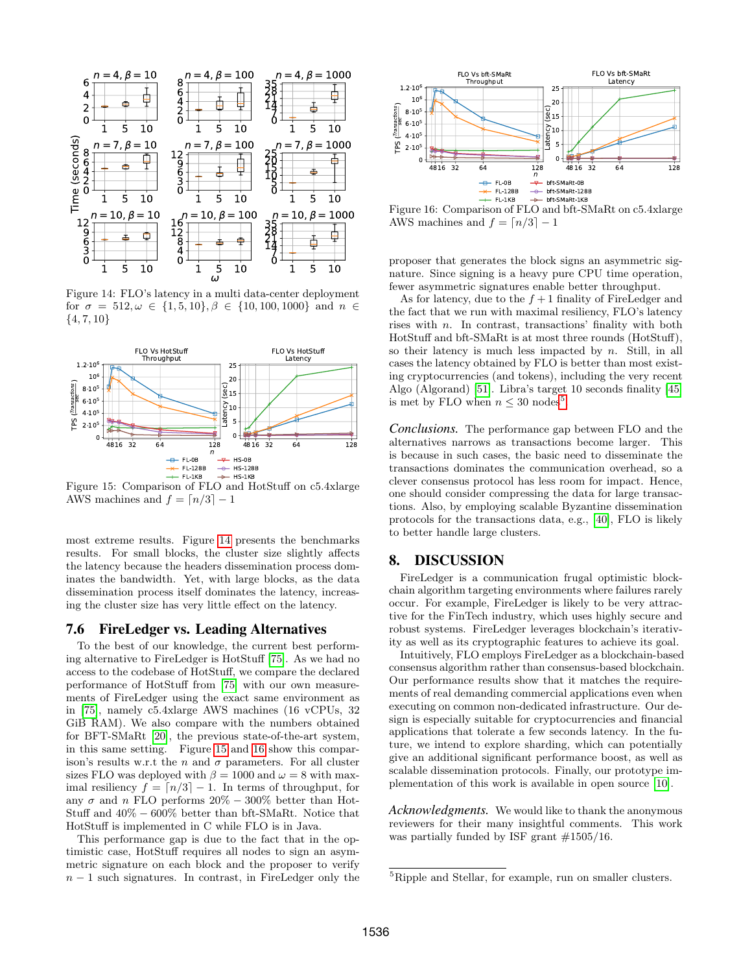<span id="page-11-1"></span>

Figure 14: FLO's latency in a multi data-center deployment for  $\sigma = 512, \omega \in \{1, 5, 10\}, \beta \in \{10, 100, 1000\}$  and  $n \in$  $\{4, 7, 10\}$ 

<span id="page-11-2"></span>

Figure 15: Comparison of FLO and HotStuff on c5.4xlarge AWS machines and  $f = \lfloor n/3 \rfloor - 1$ 

most extreme results. Figure [14](#page-11-1) presents the benchmarks results. For small blocks, the cluster size slightly affects the latency because the headers dissemination process dominates the bandwidth. Yet, with large blocks, as the data dissemination process itself dominates the latency, increasing the cluster size has very little effect on the latency.

# <span id="page-11-0"></span>7.6 FireLedger vs. Leading Alternatives

To the best of our knowledge, the current best performing alternative to FireLedger is HotStuff [\[75\]](#page-14-2). As we had no access to the codebase of HotStuff, we compare the declared performance of HotStuff from [\[75\]](#page-14-2) with our own measurements of FireLedger using the exact same environment as in [\[75\]](#page-14-2), namely c5.4xlarge AWS machines (16 vCPUs, 32 GiB RAM). We also compare with the numbers obtained for BFT-SMaRt [\[20\]](#page-12-13), the previous state-of-the-art system, in this same setting. Figure [15](#page-11-2) and [16](#page-11-3) show this comparison's results w.r.t the n and  $\sigma$  parameters. For all cluster sizes FLO was deployed with  $\beta = 1000$  and  $\omega = 8$  with maximal resiliency  $f = \lfloor n/3 \rfloor - 1$ . In terms of throughput, for any  $\sigma$  and n FLO performs 20% – 300% better than Hot-Stuff and 40% − 600% better than bft-SMaRt. Notice that HotStuff is implemented in C while FLO is in Java.  $\frac{36}{24}$ <br>  $\frac{36}{24}$ <br>  $\frac{1}{2}$ <br>  $\frac{1}{2}$ <br>  $\frac{1}{2}$ <br>  $\frac{1}{2}$ <br>  $\frac{1}{2}$ <br>  $\frac{1}{2}$ <br>  $\frac{1}{2}$ <br>  $\frac{1}{2}$ <br>  $\frac{1}{2}$ <br>  $\frac{1}{2}$ <br>  $\frac{1}{2}$ <br>  $\frac{1}{2}$ <br>  $\frac{1}{2}$ <br>  $\frac{1}{2}$ <br>  $\frac{1}{2}$ <br>  $\frac{1}{2}$ <br>  $\frac{1}{2}$ <br>  $\frac{1}{$ 

This performance gap is due to the fact that in the optimistic case, HotStuff requires all nodes to sign an asymmetric signature on each block and the proposer to verify

<span id="page-11-3"></span>

Figure 16: Comparison of FLO and bft-SMaRt on c5.4xlarge AWS machines and  $f = \lfloor n/3 \rfloor - 1$ 

proposer that generates the block signs an asymmetric signature. Since signing is a heavy pure CPU time operation, fewer asymmetric signatures enable better throughput.

As for latency, due to the  $f + 1$  finality of FireLedger and the fact that we run with maximal resiliency, FLO's latency rises with n. In contrast, transactions' finality with both HotStuff and bft-SMaRt is at most three rounds (HotStuff), so their latency is much less impacted by  $n$ . Still, in all cases the latency obtained by FLO is better than most existing cryptocurrencies (and tokens), including the very recent Algo (Algorand) [\[51\]](#page-13-11). Libra's target 10 seconds finality [\[45\]](#page-13-32) is met by FLO when  $n \leq 30$  nodes<sup>[5](#page-11-4)</sup>.

*Conclusions.* The performance gap between FLO and the alternatives narrows as transactions become larger. This is because in such cases, the basic need to disseminate the transactions dominates the communication overhead, so a clever consensus protocol has less room for impact. Hence, one should consider compressing the data for large transactions. Also, by employing scalable Byzantine dissemination protocols for the transactions data, e.g., [\[40\]](#page-13-33), FLO is likely to better handle large clusters.

## 8. DISCUSSION

FireLedger is a communication frugal optimistic blockchain algorithm targeting environments where failures rarely occur. For example, FireLedger is likely to be very attractive for the FinTech industry, which uses highly secure and robust systems. FireLedger leverages blockchain's iterativity as well as its cryptographic features to achieve its goal.

Intuitively, FLO employs FireLedger as a blockchain-based consensus algorithm rather than consensus-based blockchain. Our performance results show that it matches the requirements of real demanding commercial applications even when executing on common non-dedicated infrastructure. Our design is especially suitable for cryptocurrencies and financial applications that tolerate a few seconds latency. In the future, we intend to explore sharding, which can potentially give an additional significant performance boost, as well as scalable dissemination protocols. Finally, our prototype implementation of this work is available in open source [\[10\]](#page-12-36).

*Acknowledgments.* We would like to thank the anonymous reviewers for their many insightful comments. This work was partially funded by ISF grant  $\#1505/16$ .

<span id="page-11-4"></span><sup>5</sup>Ripple and Stellar, for example, run on smaller clusters.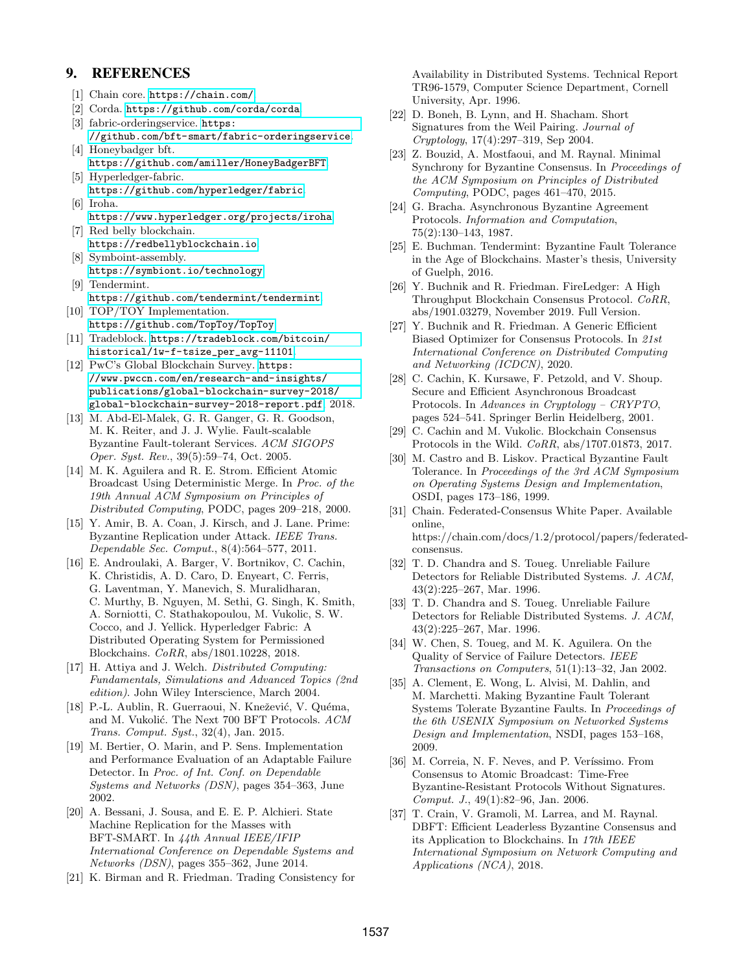# 9. REFERENCES

- <span id="page-12-14"></span>[1] Chain core. <https://chain.com/>.
- <span id="page-12-12"></span>[2] Corda. <https://github.com/corda/corda>.
- <span id="page-12-9"></span>[3] fabric-orderingservice. [https:](https://github.com/bft-smart/fabric-orderingservice) [//github.com/bft-smart/fabric-orderingservice](https://github.com/bft-smart/fabric-orderingservice).
- <span id="page-12-21"></span>[4] Honeybadger bft. <https://github.com/amiller/HoneyBadgerBFT>. [5] Hyperledger-fabric.
- <span id="page-12-10"></span><https://github.com/hyperledger/fabric>. [6] Iroha.
- <span id="page-12-19"></span><span id="page-12-16"></span><https://www.hyperledger.org/projects/iroha>. [7] Red belly blockchain.
- <https://redbellyblockchain.io>.
- <span id="page-12-17"></span>[8] Symboint-assembly. <https://symbiont.io/technology>.
- <span id="page-12-18"></span>[9] Tendermint. <https://github.com/tendermint/tendermint>.
- <span id="page-12-36"></span>[10] TOP/TOY Implementation. <https://github.com/TopToy/TopToy>.
- <span id="page-12-35"></span>[11] Tradeblock. [https://tradeblock.com/bitcoin/](https://tradeblock.com/bitcoin/historical/1w-f-tsize_per_avg-11101) [historical/1w-f-tsize\\_per\\_avg-11101](https://tradeblock.com/bitcoin/historical/1w-f-tsize_per_avg-11101).
- <span id="page-12-0"></span>[12] PwC's Global Blockchain Survey. [https:](https://www.pwccn.com/en/research-and-insights/publications/global-blockchain-survey-2018/global-blockchain-survey-2018-report.pdf) [//www.pwccn.com/en/research-and-insights/](https://www.pwccn.com/en/research-and-insights/publications/global-blockchain-survey-2018/global-blockchain-survey-2018-report.pdf) [publications/global-blockchain-survey-2018/](https://www.pwccn.com/en/research-and-insights/publications/global-blockchain-survey-2018/global-blockchain-survey-2018-report.pdf) [global-blockchain-survey-2018-report.pdf](https://www.pwccn.com/en/research-and-insights/publications/global-blockchain-survey-2018/global-blockchain-survey-2018-report.pdf), 2018.
- <span id="page-12-8"></span>[13] M. Abd-El-Malek, G. R. Ganger, G. R. Goodson, M. K. Reiter, and J. J. Wylie. Fault-scalable Byzantine Fault-tolerant Services. ACM SIGOPS Oper. Syst. Rev., 39(5):59–74, Oct. 2005.
- <span id="page-12-32"></span>[14] M. K. Aguilera and R. E. Strom. Efficient Atomic Broadcast Using Deterministic Merge. In Proc. of the 19th Annual ACM Symposium on Principles of Distributed Computing, PODC, pages 209–218, 2000.
- <span id="page-12-33"></span>[15] Y. Amir, B. A. Coan, J. Kirsch, and J. Lane. Prime: Byzantine Replication under Attack. IEEE Trans. Dependable Sec. Comput., 8(4):564–577, 2011.
- <span id="page-12-11"></span>[16] E. Androulaki, A. Barger, V. Bortnikov, C. Cachin, K. Christidis, A. D. Caro, D. Enyeart, C. Ferris, G. Laventman, Y. Manevich, S. Muralidharan, C. Murthy, B. Nguyen, M. Sethi, G. Singh, K. Smith, A. Sorniotti, C. Stathakopoulou, M. Vukolic, S. W. Cocco, and J. Yellick. Hyperledger Fabric: A Distributed Operating System for Permissioned Blockchains. CoRR, abs/1801.10228, 2018.
- <span id="page-12-23"></span>[17] H. Attiya and J. Welch. Distributed Computing: Fundamentals, Simulations and Advanced Topics (2nd edition). John Wiley Interscience, March 2004.
- <span id="page-12-3"></span>[18] P.-L. Aublin, R. Guerraoui, N. Knežević, V. Quéma, and M. Vukolić. The Next 700 BFT Protocols. ACM Trans. Comput. Syst., 32(4), Jan. 2015.
- <span id="page-12-30"></span>[19] M. Bertier, O. Marin, and P. Sens. Implementation and Performance Evaluation of an Adaptable Failure Detector. In Proc. of Int. Conf. on Dependable Systems and Networks (DSN), pages 354–363, June 2002.
- <span id="page-12-13"></span>[20] A. Bessani, J. Sousa, and E. E. P. Alchieri. State Machine Replication for the Masses with BFT-SMART. In 44th Annual IEEE/IFIP International Conference on Dependable Systems and Networks (DSN), pages 355–362, June 2014.
- <span id="page-12-6"></span>[21] K. Birman and R. Friedman. Trading Consistency for

Availability in Distributed Systems. Technical Report TR96-1579, Computer Science Department, Cornell University, Apr. 1996.

- <span id="page-12-22"></span>[22] D. Boneh, B. Lynn, and H. Shacham. Short Signatures from the Weil Pairing. Journal of Cryptology, 17(4):297–319, Sep 2004.
- <span id="page-12-24"></span>[23] Z. Bouzid, A. Mostfaoui, and M. Raynal. Minimal Synchrony for Byzantine Consensus. In Proceedings of the ACM Symposium on Principles of Distributed Computing, PODC, pages 461–470, 2015.
- <span id="page-12-25"></span>[24] G. Bracha. Asynchronous Byzantine Agreement Protocols. Information and Computation, 75(2):130–143, 1987.
- <span id="page-12-7"></span>[25] E. Buchman. Tendermint: Byzantine Fault Tolerance in the Age of Blockchains. Master's thesis, University of Guelph, 2016.
- <span id="page-12-27"></span>[26] Y. Buchnik and R. Friedman. FireLedger: A High Throughput Blockchain Consensus Protocol. CoRR, abs/1901.03279, November 2019. Full Version.
- <span id="page-12-28"></span>[27] Y. Buchnik and R. Friedman. A Generic Efficient Biased Optimizer for Consensus Protocols. In 21st International Conference on Distributed Computing and Networking (ICDCN), 2020.
- <span id="page-12-29"></span>[28] C. Cachin, K. Kursawe, F. Petzold, and V. Shoup. Secure and Efficient Asynchronous Broadcast Protocols. In Advances in Cryptology – CRYPTO, pages 524–541. Springer Berlin Heidelberg, 2001.
- <span id="page-12-1"></span>[29] C. Cachin and M. Vukolic. Blockchain Consensus Protocols in the Wild. CoRR, abs/1707.01873, 2017.
- <span id="page-12-4"></span>[30] M. Castro and B. Liskov. Practical Byzantine Fault Tolerance. In Proceedings of the 3rd ACM Symposium on Operating Systems Design and Implementation, OSDI, pages 173–186, 1999.
- <span id="page-12-15"></span>[31] Chain. Federated-Consensus White Paper. Available online, https://chain.com/docs/1.2/protocol/papers/federatedconsensus.
- <span id="page-12-2"></span>[32] T. D. Chandra and S. Toueg. Unreliable Failure Detectors for Reliable Distributed Systems. J. ACM, 43(2):225–267, Mar. 1996.
- <span id="page-12-5"></span>[33] T. D. Chandra and S. Toueg. Unreliable Failure Detectors for Reliable Distributed Systems. J. ACM, 43(2):225–267, Mar. 1996.
- <span id="page-12-31"></span>[34] W. Chen, S. Toueg, and M. K. Aguilera. On the Quality of Service of Failure Detectors. IEEE Transactions on Computers, 51(1):13–32, Jan 2002.
- <span id="page-12-34"></span>[35] A. Clement, E. Wong, L. Alvisi, M. Dahlin, and M. Marchetti. Making Byzantine Fault Tolerant Systems Tolerate Byzantine Faults. In Proceedings of the 6th USENIX Symposium on Networked Systems Design and Implementation, NSDI, pages 153–168, 2009.
- <span id="page-12-26"></span>[36] M. Correia, N. F. Neves, and P. Veríssimo. From Consensus to Atomic Broadcast: Time-Free Byzantine-Resistant Protocols Without Signatures. Comput. J., 49(1):82–96, Jan. 2006.
- <span id="page-12-20"></span>[37] T. Crain, V. Gramoli, M. Larrea, and M. Raynal. DBFT: Efficient Leaderless Byzantine Consensus and its Application to Blockchains. In 17th IEEE International Symposium on Network Computing and Applications (NCA), 2018.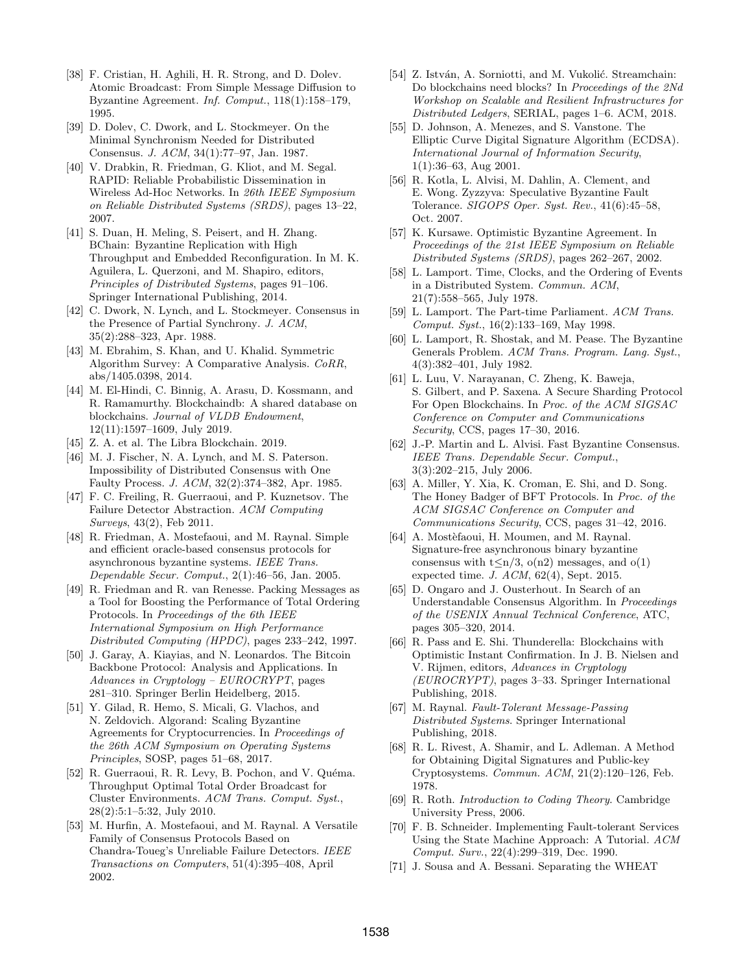- <span id="page-13-26"></span>[38] F. Cristian, H. Aghili, H. R. Strong, and D. Dolev. Atomic Broadcast: From Simple Message Diffusion to Byzantine Agreement. Inf. Comput., 118(1):158–179, 1995.
- <span id="page-13-9"></span>[39] D. Dolev, C. Dwork, and L. Stockmeyer. On the Minimal Synchronism Needed for Distributed Consensus. J. ACM, 34(1):77–97, Jan. 1987.
- <span id="page-13-33"></span>[40] V. Drabkin, R. Friedman, G. Kliot, and M. Segal. RAPID: Reliable Probabilistic Dissemination in Wireless Ad-Hoc Networks. In 26th IEEE Symposium on Reliable Distributed Systems (SRDS), pages 13–22, 2007.
- <span id="page-13-17"></span>[41] S. Duan, H. Meling, S. Peisert, and H. Zhang. BChain: Byzantine Replication with High Throughput and Embedded Reconfiguration. In M. K. Aguilera, L. Querzoni, and M. Shapiro, editors, Principles of Distributed Systems, pages 91–106. Springer International Publishing, 2014.
- <span id="page-13-10"></span>[42] C. Dwork, N. Lynch, and L. Stockmeyer. Consensus in the Presence of Partial Synchrony. J. ACM, 35(2):288–323, Apr. 1988.
- <span id="page-13-23"></span>[43] M. Ebrahim, S. Khan, and U. Khalid. Symmetric Algorithm Survey: A Comparative Analysis. CoRR, abs/1405.0398, 2014.
- <span id="page-13-20"></span>[44] M. El-Hindi, C. Binnig, A. Arasu, D. Kossmann, and R. Ramamurthy. Blockchaindb: A shared database on blockchains. Journal of VLDB Endowment, 12(11):1597–1609, July 2019.
- <span id="page-13-32"></span>[45] Z. A. et al. The Libra Blockchain. 2019.
- <span id="page-13-8"></span>[46] M. J. Fischer, N. A. Lynch, and M. S. Paterson. Impossibility of Distributed Consensus with One Faulty Process. J. ACM, 32(2):374–382, Apr. 1985.
- <span id="page-13-30"></span>[47] F. C. Freiling, R. Guerraoui, and P. Kuznetsov. The Failure Detector Abstraction. ACM Computing Surveys, 43(2), Feb 2011.
- <span id="page-13-14"></span>[48] R. Friedman, A. Mostefaoui, and M. Raynal. Simple and efficient oracle-based consensus protocols for asynchronous byzantine systems. IEEE Trans. Dependable Secur. Comput., 2(1):46–56, Jan. 2005.
- <span id="page-13-3"></span>[49] R. Friedman and R. van Renesse. Packing Messages as a Tool for Boosting the Performance of Total Ordering Protocols. In Proceedings of the 6th IEEE International Symposium on High Performance Distributed Computing (HPDC), pages 233–242, 1997.
- <span id="page-13-29"></span>[50] J. Garay, A. Kiayias, and N. Leonardos. The Bitcoin Backbone Protocol: Analysis and Applications. In Advances in Cryptology – EUROCRYPT, pages 281–310. Springer Berlin Heidelberg, 2015.
- <span id="page-13-11"></span>[51] Y. Gilad, R. Hemo, S. Micali, G. Vlachos, and N. Zeldovich. Algorand: Scaling Byzantine Agreements for Cryptocurrencies. In Proceedings of the 26th ACM Symposium on Operating Systems Principles, SOSP, pages 51–68, 2017.
- <span id="page-13-18"></span>[52] R. Guerraoui, R. R. Levy, B. Pochon, and V. Quéma. Throughput Optimal Total Order Broadcast for Cluster Environments. ACM Trans. Comput. Syst., 28(2):5:1–5:32, July 2010.
- <span id="page-13-4"></span>[53] M. Hurfin, A. Mostefaoui, and M. Raynal. A Versatile Family of Consensus Protocols Based on Chandra-Toueg's Unreliable Failure Detectors. IEEE Transactions on Computers, 51(4):395–408, April 2002.
- <span id="page-13-19"></span>[54] Z. István, A. Sorniotti, and M. Vukolić. Streamchain: Do blockchains need blocks? In Proceedings of the 2Nd Workshop on Scalable and Resilient Infrastructures for Distributed Ledgers, SERIAL, pages 1–6. ACM, 2018.
- <span id="page-13-25"></span>[55] D. Johnson, A. Menezes, and S. Vanstone. The Elliptic Curve Digital Signature Algorithm (ECDSA). International Journal of Information Security, 1(1):36–63, Aug 2001.
- <span id="page-13-7"></span>[56] R. Kotla, L. Alvisi, M. Dahlin, A. Clement, and E. Wong. Zyzzyva: Speculative Byzantine Fault Tolerance. SIGOPS Oper. Syst. Rev., 41(6):45–58, Oct. 2007.
- <span id="page-13-15"></span>[57] K. Kursawe. Optimistic Byzantine Agreement. In Proceedings of the 21st IEEE Symposium on Reliable Distributed Systems (SRDS), pages 262–267, 2002.
- <span id="page-13-0"></span>[58] L. Lamport. Time, Clocks, and the Ordering of Events in a Distributed System. Commun. ACM, 21(7):558–565, July 1978.
- <span id="page-13-2"></span>[59] L. Lamport. The Part-time Parliament. ACM Trans. Comput. Syst., 16(2):133–169, May 1998.
- <span id="page-13-6"></span>[60] L. Lamport, R. Shostak, and M. Pease. The Byzantine Generals Problem. ACM Trans. Program. Lang. Syst., 4(3):382–401, July 1982.
- <span id="page-13-28"></span>[61] L. Luu, V. Narayanan, C. Zheng, K. Baweja, S. Gilbert, and P. Saxena. A Secure Sharding Protocol For Open Blockchains. In Proc. of the ACM SIGSAC Conference on Computer and Communications Security, CCS, pages 17–30, 2016.
- <span id="page-13-16"></span>[62] J.-P. Martin and L. Alvisi. Fast Byzantine Consensus. IEEE Trans. Dependable Secur. Comput., 3(3):202–215, July 2006.
- <span id="page-13-13"></span>[63] A. Miller, Y. Xia, K. Croman, E. Shi, and D. Song. The Honey Badger of BFT Protocols. In Proc. of the ACM SIGSAC Conference on Computer and Communications Security, CCS, pages 31–42, 2016.
- <span id="page-13-27"></span>[64] A. Mostèfaoui, H. Moumen, and M. Raynal. Signature-free asynchronous binary byzantine consensus with  $t \le n/3$ ,  $o(n2)$  messages, and  $o(1)$ expected time. J. ACM, 62(4), Sept. 2015.
- <span id="page-13-5"></span>[65] D. Ongaro and J. Ousterhout. In Search of an Understandable Consensus Algorithm. In Proceedings of the USENIX Annual Technical Conference, ATC, pages 305–320, 2014.
- <span id="page-13-12"></span>[66] R. Pass and E. Shi. Thunderella: Blockchains with Optimistic Instant Confirmation. In J. B. Nielsen and V. Rijmen, editors, Advances in Cryptology (EUROCRYPT), pages 3–33. Springer International Publishing, 2018.
- <span id="page-13-21"></span>[67] M. Raynal. Fault-Tolerant Message-Passing Distributed Systems. Springer International Publishing, 2018.
- <span id="page-13-24"></span>[68] R. L. Rivest, A. Shamir, and L. Adleman. A Method for Obtaining Digital Signatures and Public-key Cryptosystems. Commun. ACM, 21(2):120–126, Feb. 1978.
- <span id="page-13-22"></span>[69] R. Roth. Introduction to Coding Theory. Cambridge University Press, 2006.
- <span id="page-13-1"></span>[70] F. B. Schneider. Implementing Fault-tolerant Services Using the State Machine Approach: A Tutorial. ACM Comput. Surv., 22(4):299–319, Dec. 1990.
- <span id="page-13-31"></span>[71] J. Sousa and A. Bessani. Separating the WHEAT